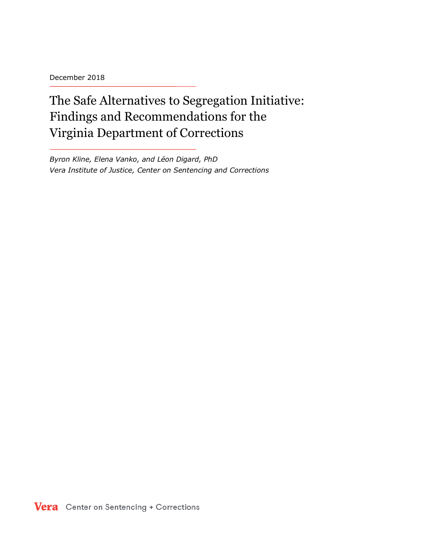December 2018

The Safe Alternatives to Segregation Initiative: Findings and Recommendations for the Virginia Department of Corrections

*Byron Kline, Elena Vanko, and Léon Digard, PhD Vera Institute of Justice, Center on Sentencing and Corrections*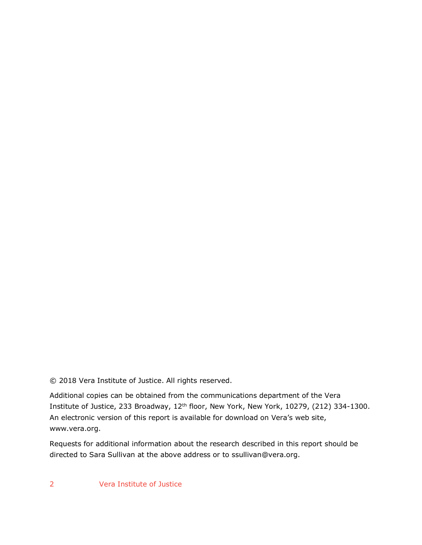© 2018 Vera Institute of Justice. All rights reserved.

Additional copies can be obtained from the communications department of the Vera Institute of Justice, 233 Broadway, 12<sup>th</sup> floor, New York, New York, 10279, (212) 334-1300. An electronic version of this report is available for download on Vera's web site, www.vera.org.

Requests for additional information about the research described in this report should be directed to Sara Sullivan at the above address or to ssullivan@vera.org.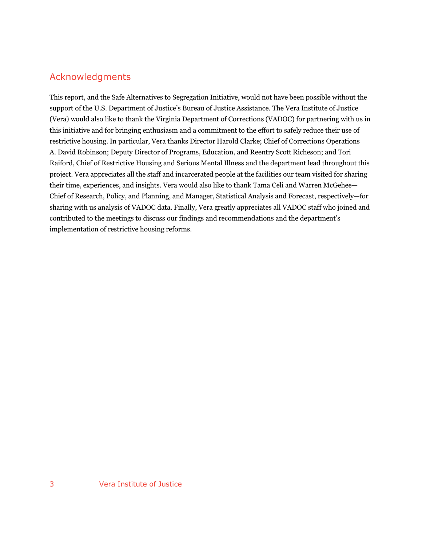### Acknowledgments

This report, and the Safe Alternatives to Segregation Initiative, would not have been possible without the support of the U.S. Department of Justice's Bureau of Justice Assistance. The Vera Institute of Justice (Vera) would also like to thank the Virginia Department of Corrections (VADOC) for partnering with us in this initiative and for bringing enthusiasm and a commitment to the effort to safely reduce their use of restrictive housing. In particular, Vera thanks Director Harold Clarke; Chief of Corrections Operations A. David Robinson; Deputy Director of Programs, Education, and Reentry Scott Richeson; and Tori Raiford, Chief of Restrictive Housing and Serious Mental Illness and the department lead throughout this project. Vera appreciates all the staff and incarcerated people at the facilities our team visited for sharing their time, experiences, and insights. Vera would also like to thank Tama Celi and Warren McGehee— Chief of Research, Policy, and Planning, and Manager, Statistical Analysis and Forecast, respectively—for sharing with us analysis of VADOC data. Finally, Vera greatly appreciates all VADOC staff who joined and contributed to the meetings to discuss our findings and recommendations and the department's implementation of restrictive housing reforms.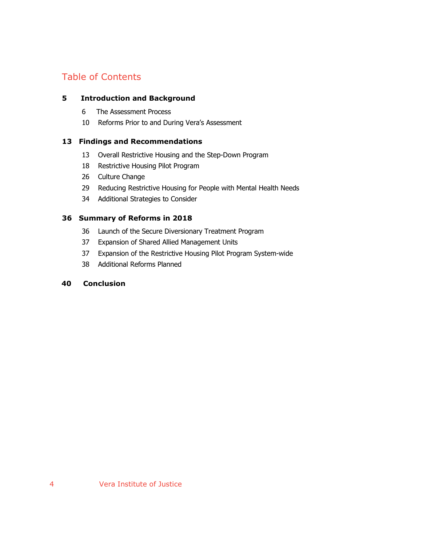## Table of Contents

#### **5 Introduction and Background**

- 6 The Assessment Process
- 10 Reforms Prior to and During Vera's Assessment

#### **13 Findings and Recommendations**

- 13 Overall Restrictive Housing and the Step-Down Program
- 18 Restrictive Housing Pilot Program
- 26 Culture Change
- 29 Reducing Restrictive Housing for People with Mental Health Needs
- 34 Additional Strategies to Consider

#### **36 Summary of Reforms in 2018**

- 36 Launch of the Secure Diversionary Treatment Program
- 37 Expansion of Shared Allied Management Units
- 37 Expansion of the Restrictive Housing Pilot Program System-wide
- 38 Additional Reforms Planned

#### **40 Conclusion**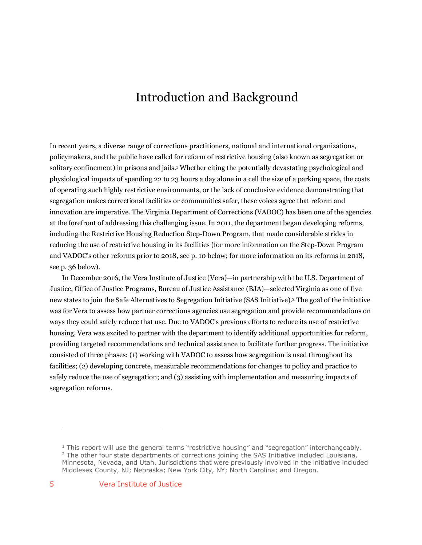# Introduction and Background

In recent years, a diverse range of corrections practitioners, national and international organizations, policymakers, and the public have called for reform of restrictive housing (also known as segregation or solitary confinement) in prisons and jails.1 Whether citing the potentially devastating psychological and physiological impacts of spending 22 to 23 hours a day alone in a cell the size of a parking space, the costs of operating such highly restrictive environments, or the lack of conclusive evidence demonstrating that segregation makes correctional facilities or communities safer, these voices agree that reform and innovation are imperative. The Virginia Department of Corrections (VADOC) has been one of the agencies at the forefront of addressing this challenging issue. In 2011, the department began developing reforms, including the Restrictive Housing Reduction Step-Down Program, that made considerable strides in reducing the use of restrictive housing in its facilities (for more information on the Step-Down Program and VADOC's other reforms prior to 2018, see p. 10 below; for more information on its reforms in 2018, see p. 36 below).

In December 2016, the Vera Institute of Justice (Vera)—in partnership with the U.S. Department of Justice, Office of Justice Programs, Bureau of Justice Assistance (BJA)—selected Virginia as one of five new states to join the Safe Alternatives to Segregation Initiative (SAS Initiative).2 The goal of the initiative was for Vera to assess how partner corrections agencies use segregation and provide recommendations on ways they could safely reduce that use. Due to VADOC's previous efforts to reduce its use of restrictive housing, Vera was excited to partner with the department to identify additional opportunities for reform, providing targeted recommendations and technical assistance to facilitate further progress. The initiative consisted of three phases: (1) working with VADOC to assess how segregation is used throughout its facilities; (2) developing concrete, measurable recommendations for changes to policy and practice to safely reduce the use of segregation; and (3) assisting with implementation and measuring impacts of segregation reforms.

 $1$  This report will use the general terms "restrictive housing" and "segregation" interchangeably.  $<sup>2</sup>$  The other four state departments of corrections joining the SAS Initiative included Louisiana,</sup> Minnesota, Nevada, and Utah. Jurisdictions that were previously involved in the initiative included Middlesex County, NJ; Nebraska; New York City, NY; North Carolina; and Oregon.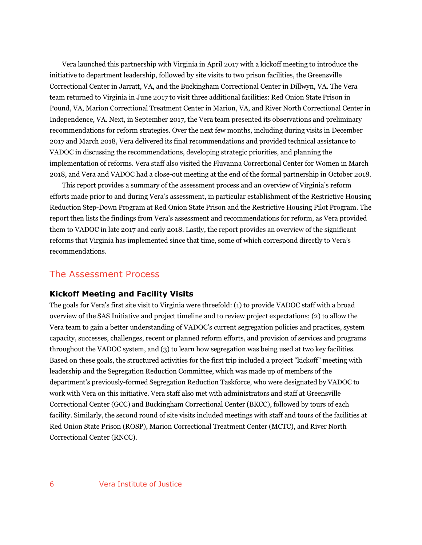Vera launched this partnership with Virginia in April 2017 with a kickoff meeting to introduce the initiative to department leadership, followed by site visits to two prison facilities, the Greensville Correctional Center in Jarratt, VA, and the Buckingham Correctional Center in Dillwyn, VA. The Vera team returned to Virginia in June 2017 to visit three additional facilities: Red Onion State Prison in Pound, VA, Marion Correctional Treatment Center in Marion, VA, and River North Correctional Center in Independence, VA. Next, in September 2017, the Vera team presented its observations and preliminary recommendations for reform strategies. Over the next few months, including during visits in December 2017 and March 2018, Vera delivered its final recommendations and provided technical assistance to VADOC in discussing the recommendations, developing strategic priorities, and planning the implementation of reforms. Vera staff also visited the Fluvanna Correctional Center for Women in March 2018, and Vera and VADOC had a close-out meeting at the end of the formal partnership in October 2018.

This report provides a summary of the assessment process and an overview of Virginia's reform efforts made prior to and during Vera's assessment, in particular establishment of the Restrictive Housing Reduction Step-Down Program at Red Onion State Prison and the Restrictive Housing Pilot Program. The report then lists the findings from Vera's assessment and recommendations for reform, as Vera provided them to VADOC in late 2017 and early 2018. Lastly, the report provides an overview of the significant reforms that Virginia has implemented since that time, some of which correspond directly to Vera's recommendations.

#### The Assessment Process

#### **Kickoff Meeting and Facility Visits**

The goals for Vera's first site visit to Virginia were threefold: (1) to provide VADOC staff with a broad overview of the SAS Initiative and project timeline and to review project expectations; (2) to allow the Vera team to gain a better understanding of VADOC's current segregation policies and practices, system capacity, successes, challenges, recent or planned reform efforts, and provision of services and programs throughout the VADOC system, and (3) to learn how segregation was being used at two key facilities. Based on these goals, the structured activities for the first trip included a project "kickoff" meeting with leadership and the Segregation Reduction Committee, which was made up of members of the department's previously-formed Segregation Reduction Taskforce, who were designated by VADOC to work with Vera on this initiative. Vera staff also met with administrators and staff at Greensville Correctional Center (GCC) and Buckingham Correctional Center (BKCC), followed by tours of each facility. Similarly, the second round of site visits included meetings with staff and tours of the facilities at Red Onion State Prison (ROSP), Marion Correctional Treatment Center (MCTC), and River North Correctional Center (RNCC).

#### 6 Vera Institute of Justice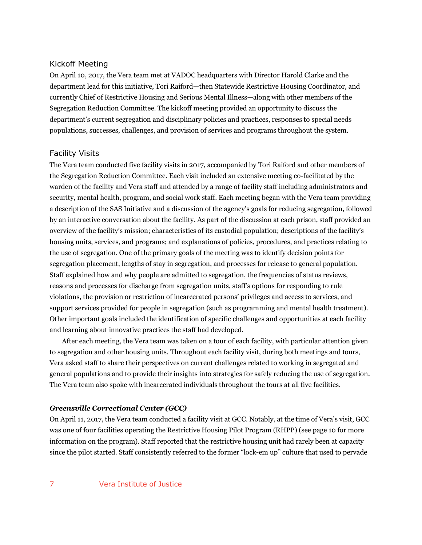#### Kickoff Meeting

On April 10, 2017, the Vera team met at VADOC headquarters with Director Harold Clarke and the department lead for this initiative, Tori Raiford—then Statewide Restrictive Housing Coordinator, and currently Chief of Restrictive Housing and Serious Mental Illness—along with other members of the Segregation Reduction Committee. The kickoff meeting provided an opportunity to discuss the department's current segregation and disciplinary policies and practices, responses to special needs populations, successes, challenges, and provision of services and programs throughout the system.

#### Facility Visits

The Vera team conducted five facility visits in 2017, accompanied by Tori Raiford and other members of the Segregation Reduction Committee. Each visit included an extensive meeting co-facilitated by the warden of the facility and Vera staff and attended by a range of facility staff including administrators and security, mental health, program, and social work staff. Each meeting began with the Vera team providing a description of the SAS Initiative and a discussion of the agency's goals for reducing segregation, followed by an interactive conversation about the facility. As part of the discussion at each prison, staff provided an overview of the facility's mission; characteristics of its custodial population; descriptions of the facility's housing units, services, and programs; and explanations of policies, procedures, and practices relating to the use of segregation. One of the primary goals of the meeting was to identify decision points for segregation placement, lengths of stay in segregation, and processes for release to general population. Staff explained how and why people are admitted to segregation, the frequencies of status reviews, reasons and processes for discharge from segregation units, staff's options for responding to rule violations, the provision or restriction of incarcerated persons' privileges and access to services, and support services provided for people in segregation (such as programming and mental health treatment). Other important goals included the identification of specific challenges and opportunities at each facility and learning about innovative practices the staff had developed.

After each meeting, the Vera team was taken on a tour of each facility, with particular attention given to segregation and other housing units. Throughout each facility visit, during both meetings and tours, Vera asked staff to share their perspectives on current challenges related to working in segregated and general populations and to provide their insights into strategies for safely reducing the use of segregation. The Vera team also spoke with incarcerated individuals throughout the tours at all five facilities.

#### *Greensville Correctional Center (GCC)*

On April 11, 2017, the Vera team conducted a facility visit at GCC. Notably, at the time of Vera's visit, GCC was one of four facilities operating the Restrictive Housing Pilot Program (RHPP) (see page 10 for more information on the program). Staff reported that the restrictive housing unit had rarely been at capacity since the pilot started. Staff consistently referred to the former "lock-em up" culture that used to pervade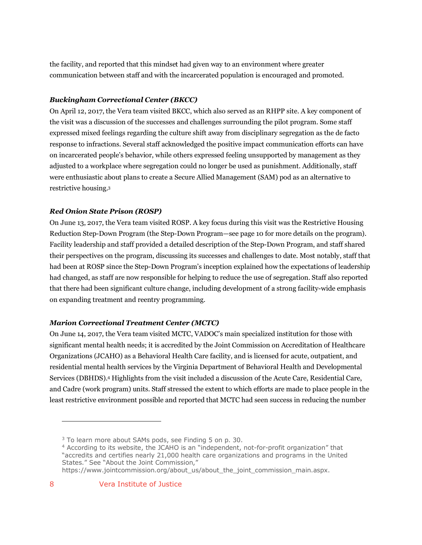the facility, and reported that this mindset had given way to an environment where greater communication between staff and with the incarcerated population is encouraged and promoted.

#### *Buckingham Correctional Center (BKCC)*

On April 12, 2017, the Vera team visited BKCC, which also served as an RHPP site. A key component of the visit was a discussion of the successes and challenges surrounding the pilot program. Some staff expressed mixed feelings regarding the culture shift away from disciplinary segregation as the de facto response to infractions. Several staff acknowledged the positive impact communication efforts can have on incarcerated people's behavior, while others expressed feeling unsupported by management as they adjusted to a workplace where segregation could no longer be used as punishment. Additionally, staff were enthusiastic about plans to create a Secure Allied Management (SAM) pod as an alternative to restrictive housing.3

#### *Red Onion State Prison (ROSP)*

On June 13, 2017, the Vera team visited ROSP. A key focus during this visit was the Restrictive Housing Reduction Step-Down Program (the Step-Down Program—see page 10 for more details on the program). Facility leadership and staff provided a detailed description of the Step-Down Program, and staff shared their perspectives on the program, discussing its successes and challenges to date. Most notably, staff that had been at ROSP since the Step-Down Program's inception explained how the expectations of leadership had changed, as staff are now responsible for helping to reduce the use of segregation. Staff also reported that there had been significant culture change, including development of a strong facility-wide emphasis on expanding treatment and reentry programming.

#### *Marion Correctional Treatment Center (MCTC)*

On June 14, 2017, the Vera team visited MCTC, VADOC's main specialized institution for those with significant mental health needs; it is accredited by the Joint Commission on Accreditation of Healthcare Organizations (JCAHO) as a Behavioral Health Care facility, and is licensed for acute, outpatient, and residential mental health services by the Virginia Department of Behavioral Health and Developmental Services (DBHDS).4 Highlights from the visit included a discussion of the Acute Care, Residential Care, and Cadre (work program) units. Staff stressed the extent to which efforts are made to place people in the least restrictive environment possible and reported that MCTC had seen success in reducing the number

https://www.jointcommission.org/about\_us/about\_the\_joint\_commission\_main.aspx.

<sup>&</sup>lt;sup>3</sup> To learn more about SAMs pods, see Finding 5 on p. 30.

<sup>4</sup> According to its website, the JCAHO is an "independent, not-for-profit organization" that "accredits and certifies nearly 21,000 health care organizations and programs in the United States." See "About the Joint Commission,"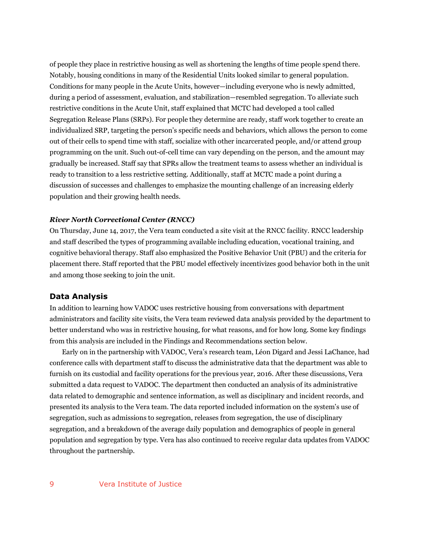of people they place in restrictive housing as well as shortening the lengths of time people spend there. Notably, housing conditions in many of the Residential Units looked similar to general population. Conditions for many people in the Acute Units, however—including everyone who is newly admitted, during a period of assessment, evaluation, and stabilization—resembled segregation. To alleviate such restrictive conditions in the Acute Unit, staff explained that MCTC had developed a tool called Segregation Release Plans (SRPs). For people they determine are ready, staff work together to create an individualized SRP, targeting the person's specific needs and behaviors, which allows the person to come out of their cells to spend time with staff, socialize with other incarcerated people, and/or attend group programming on the unit. Such out-of-cell time can vary depending on the person, and the amount may gradually be increased. Staff say that SPRs allow the treatment teams to assess whether an individual is ready to transition to a less restrictive setting. Additionally, staff at MCTC made a point during a discussion of successes and challenges to emphasize the mounting challenge of an increasing elderly population and their growing health needs.

#### *River North Correctional Center (RNCC)*

On Thursday, June 14, 2017, the Vera team conducted a site visit at the RNCC facility. RNCC leadership and staff described the types of programming available including education, vocational training, and cognitive behavioral therapy. Staff also emphasized the Positive Behavior Unit (PBU) and the criteria for placement there. Staff reported that the PBU model effectively incentivizes good behavior both in the unit and among those seeking to join the unit.

#### **Data Analysis**

In addition to learning how VADOC uses restrictive housing from conversations with department administrators and facility site visits, the Vera team reviewed data analysis provided by the department to better understand who was in restrictive housing, for what reasons, and for how long. Some key findings from this analysis are included in the Findings and Recommendations section below.

Early on in the partnership with VADOC, Vera's research team, Léon Digard and Jessi LaChance, had conference calls with department staff to discuss the administrative data that the department was able to furnish on its custodial and facility operations for the previous year, 2016. After these discussions, Vera submitted a data request to VADOC. The department then conducted an analysis of its administrative data related to demographic and sentence information, as well as disciplinary and incident records, and presented its analysis to the Vera team. The data reported included information on the system's use of segregation, such as admissions to segregation, releases from segregation, the use of disciplinary segregation, and a breakdown of the average daily population and demographics of people in general population and segregation by type. Vera has also continued to receive regular data updates from VADOC throughout the partnership.

#### 9 Vera Institute of Justice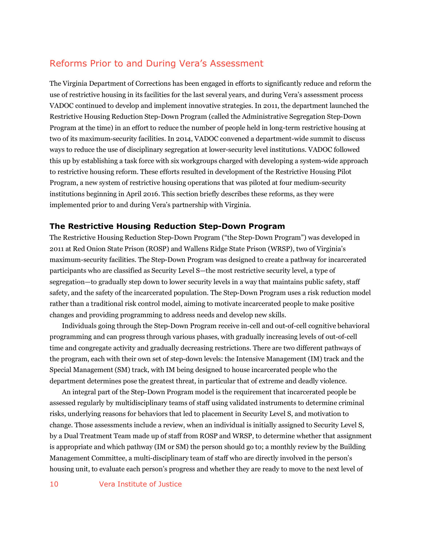### Reforms Prior to and During Vera's Assessment

The Virginia Department of Corrections has been engaged in efforts to significantly reduce and reform the use of restrictive housing in its facilities for the last several years, and during Vera's assessment process VADOC continued to develop and implement innovative strategies. In 2011, the department launched the Restrictive Housing Reduction Step-Down Program (called the Administrative Segregation Step-Down Program at the time) in an effort to reduce the number of people held in long-term restrictive housing at two of its maximum-security facilities. In 2014, VADOC convened a department-wide summit to discuss ways to reduce the use of disciplinary segregation at lower-security level institutions. VADOC followed this up by establishing a task force with six workgroups charged with developing a system-wide approach to restrictive housing reform. These efforts resulted in development of the Restrictive Housing Pilot Program, a new system of restrictive housing operations that was piloted at four medium-security institutions beginning in April 2016. This section briefly describes these reforms, as they were implemented prior to and during Vera's partnership with Virginia.

#### **The Restrictive Housing Reduction Step-Down Program**

The Restrictive Housing Reduction Step-Down Program ("the Step-Down Program") was developed in 2011 at Red Onion State Prison (ROSP) and Wallens Ridge State Prison (WRSP), two of Virginia's maximum-security facilities. The Step-Down Program was designed to create a pathway for incarcerated participants who are classified as Security Level S—the most restrictive security level, a type of segregation—to gradually step down to lower security levels in a way that maintains public safety, staff safety, and the safety of the incarcerated population. The Step-Down Program uses a risk reduction model rather than a traditional risk control model, aiming to motivate incarcerated people to make positive changes and providing programming to address needs and develop new skills.

Individuals going through the Step-Down Program receive in-cell and out-of-cell cognitive behavioral programming and can progress through various phases, with gradually increasing levels of out-of-cell time and congregate activity and gradually decreasing restrictions. There are two different pathways of the program, each with their own set of step-down levels: the Intensive Management (IM) track and the Special Management (SM) track, with IM being designed to house incarcerated people who the department determines pose the greatest threat, in particular that of extreme and deadly violence.

An integral part of the Step-Down Program model is the requirement that incarcerated people be assessed regularly by multidisciplinary teams of staff using validated instruments to determine criminal risks, underlying reasons for behaviors that led to placement in Security Level S, and motivation to change. Those assessments include a review, when an individual is initially assigned to Security Level S, by a Dual Treatment Team made up of staff from ROSP and WRSP, to determine whether that assignment is appropriate and which pathway (IM or SM) the person should go to; a monthly review by the Building Management Committee, a multi-disciplinary team of staff who are directly involved in the person's housing unit, to evaluate each person's progress and whether they are ready to move to the next level of

10 Vera Institute of Justice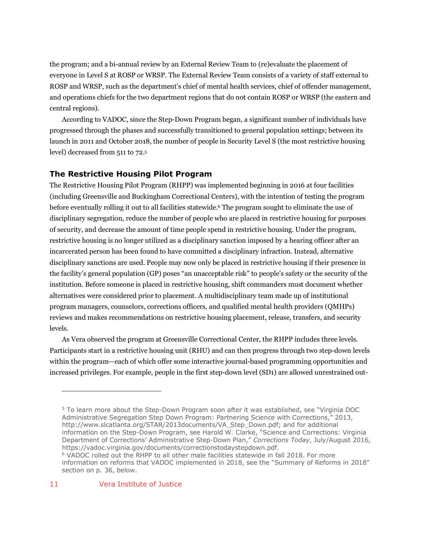the program; and a bi-annual review by an External Review Team to (re)evaluate the placement of everyone in Level S at ROSP or WRSP. The External Review Team consists of a variety of staff external to ROSP and WRSP, such as the department's chief of mental health services, chief of offender management, and operations chiefs for the two department regions that do not contain ROSP or WRSP (the eastern and central regions).

According to VADOC, since the Step-Down Program began, a significant number of individuals have progressed through the phases and successfully transitioned to general population settings; between its launch in 2011 and October 2018, the number of people in Security Level S (the most restrictive housing level) decreased from 511 to 72.5

#### **The Restrictive Housing Pilot Program**

The Restrictive Housing Pilot Program (RHPP) was implemented beginning in 2016 at four facilities (including Greensville and Buckingham Correctional Centers), with the intention of testing the program before eventually rolling it out to all facilities statewide.6 The program sought to eliminate the use of disciplinary segregation, reduce the number of people who are placed in restrictive housing for purposes of security, and decrease the amount of time people spend in restrictive housing. Under the program, restrictive housing is no longer utilized as a disciplinary sanction imposed by a hearing officer after an incarcerated person has been found to have committed a disciplinary infraction. Instead, alternative disciplinary sanctions are used. People may now only be placed in restrictive housing if their presence in the facility's general population (GP) poses "an unacceptable risk" to people's safety or the security of the institution. Before someone is placed in restrictive housing, shift commanders must document whether alternatives were considered prior to placement. A multidisciplinary team made up of institutional program managers, counselors, corrections officers, and qualified mental health providers (QMHPs) reviews and makes recommendations on restrictive housing placement, release, transfers, and security levels.

As Vera observed the program at Greensville Correctional Center, the RHPP includes three levels. Participants start in a restrictive housing unit (RHU) and can then progress through two step-down levels within the program—each of which offer some interactive journal-based programming opportunities and increased privileges. For example, people in the first step-down level (SD1) are allowed unrestrained out-

<sup>5</sup> To learn more about the Step-Down Program soon after it was established, see "Virginia DOC Administrative Segregation Step Down Program: Partnering Science with Corrections," 2013, http://www.slcatlanta.org/STAR/2013documents/VA\_Step\_Down.pdf; and for additional information on the Step-Down Program, see Harold W. Clarke, "Science and Corrections: Virginia Department of Corrections' Administrative Step-Down Plan," *Corrections Today*, July/August 2016, https://vadoc.virginia.gov/documents/correctionstodaystepdown.pdf. <sup>6</sup> VADOC rolled out the RHPP to all other male facilities statewide in fall 2018. For more information on reforms that VADOC implemented in 2018, see the "Summary of Reforms in 2018" section on p. 36, below.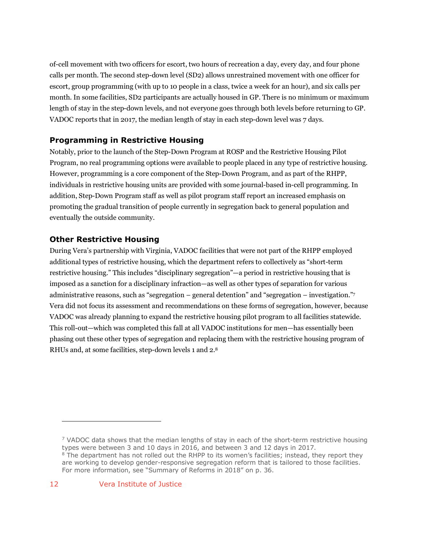of-cell movement with two officers for escort, two hours of recreation a day, every day, and four phone calls per month. The second step-down level (SD2) allows unrestrained movement with one officer for escort, group programming (with up to 10 people in a class, twice a week for an hour), and six calls per month. In some facilities, SD2 participants are actually housed in GP. There is no minimum or maximum length of stay in the step-down levels, and not everyone goes through both levels before returning to GP. VADOC reports that in 2017, the median length of stay in each step-down level was 7 days.

### **Programming in Restrictive Housing**

Notably, prior to the launch of the Step-Down Program at ROSP and the Restrictive Housing Pilot Program, no real programming options were available to people placed in any type of restrictive housing. However, programming is a core component of the Step-Down Program, and as part of the RHPP, individuals in restrictive housing units are provided with some journal-based in-cell programming. In addition, Step-Down Program staff as well as pilot program staff report an increased emphasis on promoting the gradual transition of people currently in segregation back to general population and eventually the outside community.

#### **Other Restrictive Housing**

During Vera's partnership with Virginia, VADOC facilities that were not part of the RHPP employed additional types of restrictive housing, which the department refers to collectively as "short-term restrictive housing." This includes "disciplinary segregation"—a period in restrictive housing that is imposed as a sanction for a disciplinary infraction—as well as other types of separation for various administrative reasons, such as "segregation – general detention" and "segregation – investigation."7 Vera did not focus its assessment and recommendations on these forms of segregation, however, because VADOC was already planning to expand the restrictive housing pilot program to all facilities statewide. This roll-out—which was completed this fall at all VADOC institutions for men—has essentially been phasing out these other types of segregation and replacing them with the restrictive housing program of RHUs and, at some facilities, step-down levels 1 and 2.8

 $<sup>7</sup>$  VADOC data shows that the median lengths of stay in each of the short-term restrictive housing</sup> types were between 3 and 10 days in 2016, and between 3 and 12 days in 2017.  $8$  The department has not rolled out the RHPP to its women's facilities; instead, they report they are working to develop gender-responsive segregation reform that is tailored to those facilities. For more information, see "Summary of Reforms in 2018" on p. 36.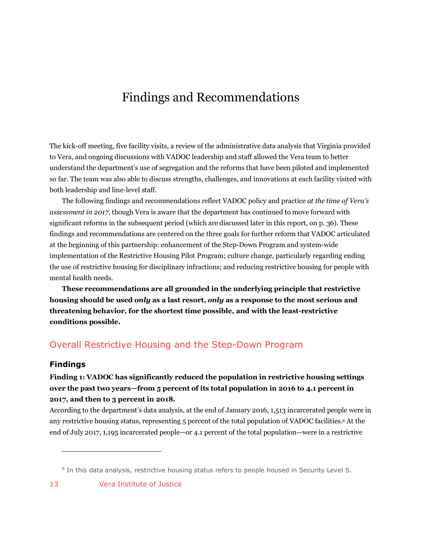# Findings and Recommendations

The kick-off meeting, five facility visits, a review of the administrative data analysis that Virginia provided to Vera, and ongoing discussions with VADOC leadership and staff allowed the Vera team to better understand the department's use of segregation and the reforms that have been piloted and implemented so far. The team was also able to discuss strengths, challenges, and innovations at each facility visited with both leadership and line-level staff.

The following findings and recommendations reflect VADOC policy and practice *at the time of Vera's assessment in 2017*, though Vera is aware that the department has continued to move forward with significant reforms in the subsequent period (which are discussed later in this report, on p. 36). These findings and recommendations are centered on the three goals for further reform that VADOC articulated at the beginning of this partnership: enhancement of the Step-Down Program and system-wide implementation of the Restrictive Housing Pilot Program; culture change, particularly regarding ending the use of restrictive housing for disciplinary infractions; and reducing restrictive housing for people with mental health needs.

**These recommendations are all grounded in the underlying principle that restrictive housing should be used** *only* **as a last resort,** *only* **as a response to the most serious and threatening behavior, for the shortest time possible, and with the least-restrictive conditions possible.**

### Overall Restrictive Housing and the Step-Down Program

#### **Findings**

### **Finding 1: VADOC has significantly reduced the population in restrictive housing settings over the past two years—from 5 percent of its total population in 2016 to 4.1 percent in 2017, and then to 3 percent in 2018.**

According to the department's data analysis, at the end of January 2016, 1,513 incarcerated people were in any restrictive housing status, representing 5 percent of the total population of VADOC facilities. <sup>9</sup> At the end of July 2017, 1,195 incarcerated people—or 4.1 percent of the total population—were in a restrictive

<sup>9</sup> In this data analysis, restrictive housing status refers to people housed in Security Level S.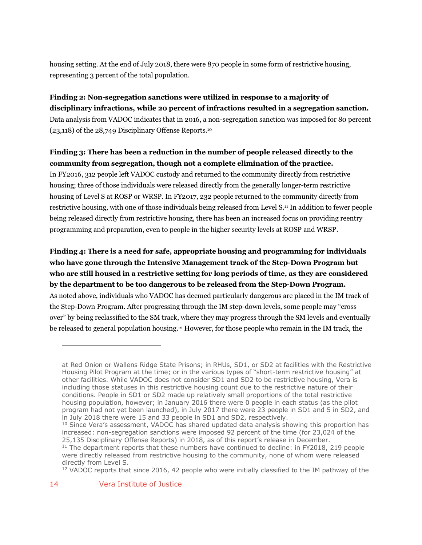housing setting. At the end of July 2018, there were 870 people in some form of restrictive housing, representing 3 percent of the total population.

### **Finding 2: Non-segregation sanctions were utilized in response to a majority of disciplinary infractions, while 20 percent of infractions resulted in a segregation sanction.**  Data analysis from VADOC indicates that in 2016, a non-segregation sanction was imposed for 80 percent (23,118) of the 28,749 Disciplinary Offense Reports.10

### **Finding 3: There has been a reduction in the number of people released directly to the community from segregation, though not a complete elimination of the practice.**

In FY2016, 312 people left VADOC custody and returned to the community directly from restrictive housing; three of those individuals were released directly from the generally longer-term restrictive housing of Level S at ROSP or WRSP. In FY2017, 232 people returned to the community directly from restrictive housing, with one of those individuals being released from Level S.11 In addition to fewer people being released directly from restrictive housing, there has been an increased focus on providing reentry programming and preparation, even to people in the higher security levels at ROSP and WRSP.

**Finding 4: There is a need for safe, appropriate housing and programming for individuals who have gone through the Intensive Management track of the Step-Down Program but who are still housed in a restrictive setting for long periods of time, as they are considered by the department to be too dangerous to be released from the Step-Down Program.** As noted above, individuals who VADOC has deemed particularly dangerous are placed in the IM track of the Step-Down Program. After progressing through the IM step-down levels, some people may "cross over" by being reclassified to the SM track, where they may progress through the SM levels and eventually be released to general population housing.12 However, for those people who remain in the IM track, the

at Red Onion or Wallens Ridge State Prisons; in RHUs, SD1, or SD2 at facilities with the Restrictive Housing Pilot Program at the time; or in the various types of "short-term restrictive housing" at other facilities. While VADOC does not consider SD1 and SD2 to be restrictive housing, Vera is including those statuses in this restrictive housing count due to the restrictive nature of their conditions. People in SD1 or SD2 made up relatively small proportions of the total restrictive housing population, however; in January 2016 there were 0 people in each status (as the pilot program had not yet been launched), in July 2017 there were 23 people in SD1 and 5 in SD2, and in July 2018 there were 15 and 33 people in SD1 and SD2, respectively.

 $10$  Since Vera's assessment, VADOC has shared updated data analysis showing this proportion has increased: non-segregation sanctions were imposed 92 percent of the time (for 23,024 of the 25,135 Disciplinary Offense Reports) in 2018, as of this report's release in December.

 $11$  The department reports that these numbers have continued to decline: in FY2018, 219 people were directly released from restrictive housing to the community, none of whom were released directly from Level S.

<sup>&</sup>lt;sup>12</sup> VADOC reports that since 2016, 42 people who were initially classified to the IM pathway of the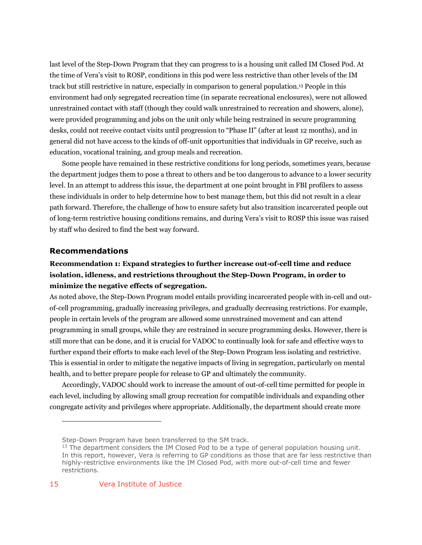last level of the Step-Down Program that they can progress to is a housing unit called IM Closed Pod. At the time of Vera's visit to ROSP, conditions in this pod were less restrictive than other levels of the IM track but still restrictive in nature, especially in comparison to general population.13 People in this environment had only segregated recreation time (in separate recreational enclosures), were not allowed unrestrained contact with staff (though they could walk unrestrained to recreation and showers, alone), were provided programming and jobs on the unit only while being restrained in secure programming desks, could not receive contact visits until progression to "Phase II" (after at least 12 months), and in general did not have access to the kinds of off-unit opportunities that individuals in GP receive, such as education, vocational training, and group meals and recreation.

Some people have remained in these restrictive conditions for long periods, sometimes years, because the department judges them to pose a threat to others and be too dangerous to advance to a lower security level. In an attempt to address this issue, the department at one point brought in FBI profilers to assess these individuals in order to help determine how to best manage them, but this did not result in a clear path forward. Therefore, the challenge of how to ensure safety but also transition incarcerated people out of long-term restrictive housing conditions remains, and during Vera's visit to ROSP this issue was raised by staff who desired to find the best way forward.

#### **Recommendations**

### **Recommendation 1: Expand strategies to further increase out-of-cell time and reduce isolation, idleness, and restrictions throughout the Step-Down Program, in order to minimize the negative effects of segregation.**

As noted above, the Step-Down Program model entails providing incarcerated people with in-cell and outof-cell programming, gradually increasing privileges, and gradually decreasing restrictions. For example, people in certain levels of the program are allowed some unrestrained movement and can attend programming in small groups, while they are restrained in secure programming desks. However, there is still more that can be done, and it is crucial for VADOC to continually look for safe and effective ways to further expand their efforts to make each level of the Step-Down Program less isolating and restrictive. This is essential in order to mitigate the negative impacts of living in segregation, particularly on mental health, and to better prepare people for release to GP and ultimately the community.

Accordingly, VADOC should work to increase the amount of out-of-cell time permitted for people in each level, including by allowing small group recreation for compatible individuals and expanding other congregate activity and privileges where appropriate. Additionally, the department should create more

Step-Down Program have been transferred to the SM track.

 $13$  The department considers the IM Closed Pod to be a type of general population housing unit. In this report, however, Vera is referring to GP conditions as those that are far less restrictive than highly-restrictive environments like the IM Closed Pod, with more out-of-cell time and fewer restrictions.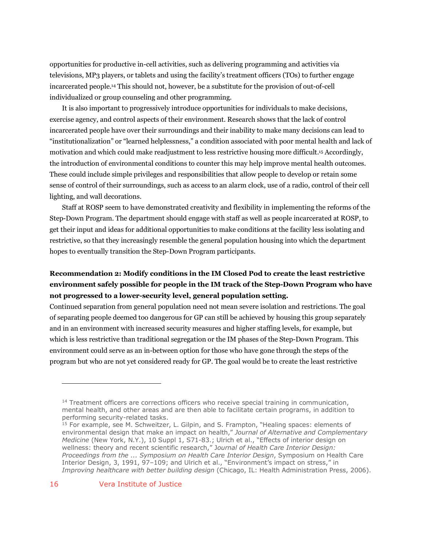opportunities for productive in-cell activities, such as delivering programming and activities via televisions, MP3 players, or tablets and using the facility's treatment officers (TOs) to further engage incarcerated people.14 This should not, however, be a substitute for the provision of out-of-cell individualized or group counseling and other programming.

It is also important to progressively introduce opportunities for individuals to make decisions, exercise agency, and control aspects of their environment. Research shows that the lack of control incarcerated people have over their surroundings and their inability to make many decisions can lead to "institutionalization" or "learned helplessness," a condition associated with poor mental health and lack of motivation and which could make readjustment to less restrictive housing more difficult.15 Accordingly, the introduction of environmental conditions to counter this may help improve mental health outcomes. These could include simple privileges and responsibilities that allow people to develop or retain some sense of control of their surroundings, such as access to an alarm clock, use of a radio, control of their cell lighting, and wall decorations.

Staff at ROSP seem to have demonstrated creativity and flexibility in implementing the reforms of the Step-Down Program. The department should engage with staff as well as people incarcerated at ROSP, to get their input and ideas for additional opportunities to make conditions at the facility less isolating and restrictive, so that they increasingly resemble the general population housing into which the department hopes to eventually transition the Step-Down Program participants.

### **Recommendation 2: Modify conditions in the IM Closed Pod to create the least restrictive environment safely possible for people in the IM track of the Step-Down Program who have not progressed to a lower-security level, general population setting.**

Continued separation from general population need not mean severe isolation and restrictions. The goal of separating people deemed too dangerous for GP can still be achieved by housing this group separately and in an environment with increased security measures and higher staffing levels, for example, but which is less restrictive than traditional segregation or the IM phases of the Step-Down Program. This environment could serve as an in-between option for those who have gone through the steps of the program but who are not yet considered ready for GP. The goal would be to create the least restrictive

 $14$  Treatment officers are corrections officers who receive special training in communication, mental health, and other areas and are then able to facilitate certain programs, in addition to performing security-related tasks.

<sup>&</sup>lt;sup>15</sup> For example, see M. Schweitzer, L. Gilpin, and S. Frampton, "Healing spaces: elements of environmental design that make an impact on health," *Journal of Alternative and Complementary Medicine* (New York, N.Y.), 10 Suppl 1, S71-83.; Ulrich et al., "Effects of interior design on wellness: theory and recent scientific research," J*ournal of Health Care Interior Design: Proceedings from the ... Symposium on Health Care Interior Design*, Symposium on Health Care Interior Design, 3, 1991, 97–109; and Ulrich et al., "Environment's impact on stress," in *Improving healthcare with better building design* (Chicago, IL: Health Administration Press, 2006).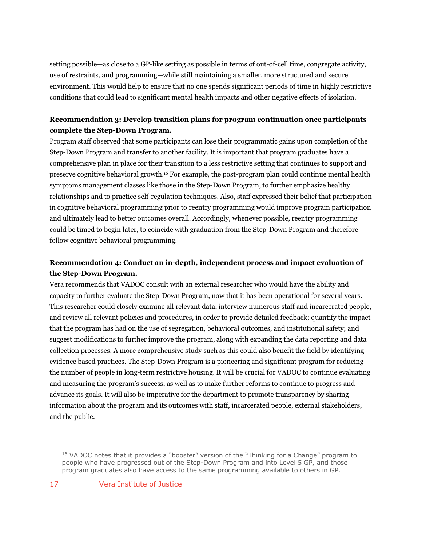setting possible—as close to a GP-like setting as possible in terms of out-of-cell time, congregate activity, use of restraints, and programming—while still maintaining a smaller, more structured and secure environment. This would help to ensure that no one spends significant periods of time in highly restrictive conditions that could lead to significant mental health impacts and other negative effects of isolation.

### **Recommendation 3: Develop transition plans for program continuation once participants complete the Step-Down Program.**

Program staff observed that some participants can lose their programmatic gains upon completion of the Step-Down Program and transfer to another facility. It is important that program graduates have a comprehensive plan in place for their transition to a less restrictive setting that continues to support and preserve cognitive behavioral growth.16 For example, the post-program plan could continue mental health symptoms management classes like those in the Step-Down Program, to further emphasize healthy relationships and to practice self-regulation techniques. Also, staff expressed their belief that participation in cognitive behavioral programming prior to reentry programming would improve program participation and ultimately lead to better outcomes overall. Accordingly, whenever possible, reentry programming could be timed to begin later, to coincide with graduation from the Step-Down Program and therefore follow cognitive behavioral programming.

### **Recommendation 4: Conduct an in-depth, independent process and impact evaluation of the Step-Down Program.**

Vera recommends that VADOC consult with an external researcher who would have the ability and capacity to further evaluate the Step-Down Program, now that it has been operational for several years. This researcher could closely examine all relevant data, interview numerous staff and incarcerated people, and review all relevant policies and procedures, in order to provide detailed feedback; quantify the impact that the program has had on the use of segregation, behavioral outcomes, and institutional safety; and suggest modifications to further improve the program, along with expanding the data reporting and data collection processes. A more comprehensive study such as this could also benefit the field by identifying evidence based practices. The Step-Down Program is a pioneering and significant program for reducing the number of people in long-term restrictive housing. It will be crucial for VADOC to continue evaluating and measuring the program's success, as well as to make further reforms to continue to progress and advance its goals. It will also be imperative for the department to promote transparency by sharing information about the program and its outcomes with staff, incarcerated people, external stakeholders, and the public.

<sup>&</sup>lt;sup>16</sup> VADOC notes that it provides a "booster" version of the "Thinking for a Change" program to people who have progressed out of the Step-Down Program and into Level 5 GP, and those program graduates also have access to the same programming available to others in GP.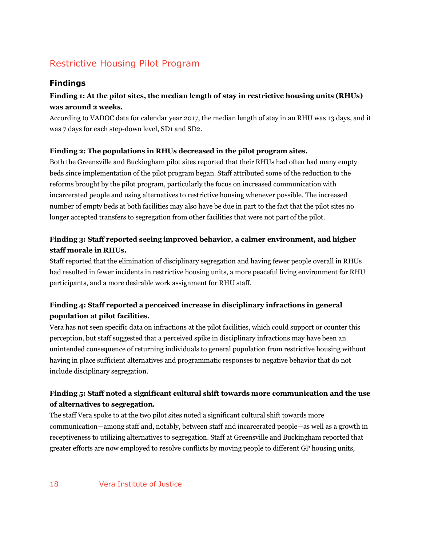# Restrictive Housing Pilot Program

### **Findings**

### **Finding 1: At the pilot sites, the median length of stay in restrictive housing units (RHUs) was around 2 weeks.**

According to VADOC data for calendar year 2017, the median length of stay in an RHU was 13 days, and it was 7 days for each step-down level, SD1 and SD2.

#### **Finding 2: The populations in RHUs decreased in the pilot program sites.**

Both the Greensville and Buckingham pilot sites reported that their RHUs had often had many empty beds since implementation of the pilot program began. Staff attributed some of the reduction to the reforms brought by the pilot program, particularly the focus on increased communication with incarcerated people and using alternatives to restrictive housing whenever possible. The increased number of empty beds at both facilities may also have be due in part to the fact that the pilot sites no longer accepted transfers to segregation from other facilities that were not part of the pilot.

### **Finding 3: Staff reported seeing improved behavior, a calmer environment, and higher staff morale in RHUs.**

Staff reported that the elimination of disciplinary segregation and having fewer people overall in RHUs had resulted in fewer incidents in restrictive housing units, a more peaceful living environment for RHU participants, and a more desirable work assignment for RHU staff.

### **Finding 4: Staff reported a perceived increase in disciplinary infractions in general population at pilot facilities.**

Vera has not seen specific data on infractions at the pilot facilities, which could support or counter this perception, but staff suggested that a perceived spike in disciplinary infractions may have been an unintended consequence of returning individuals to general population from restrictive housing without having in place sufficient alternatives and programmatic responses to negative behavior that do not include disciplinary segregation.

### **Finding 5: Staff noted a significant cultural shift towards more communication and the use of alternatives to segregation.**

The staff Vera spoke to at the two pilot sites noted a significant cultural shift towards more communication—among staff and, notably, between staff and incarcerated people—as well as a growth in receptiveness to utilizing alternatives to segregation. Staff at Greensville and Buckingham reported that greater efforts are now employed to resolve conflicts by moving people to different GP housing units,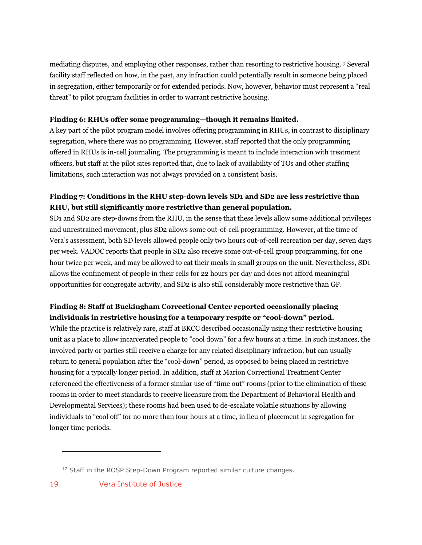mediating disputes, and employing other responses, rather than resorting to restrictive housing.17 Several facility staff reflected on how, in the past, any infraction could potentially result in someone being placed in segregation, either temporarily or for extended periods. Now, however, behavior must represent a "real threat" to pilot program facilities in order to warrant restrictive housing.

#### **Finding 6: RHUs offer some programming—though it remains limited.**

A key part of the pilot program model involves offering programming in RHUs, in contrast to disciplinary segregation, where there was no programming. However, staff reported that the only programming offered in RHUs is in-cell journaling. The programming is meant to include interaction with treatment officers, but staff at the pilot sites reported that, due to lack of availability of TOs and other staffing limitations, such interaction was not always provided on a consistent basis.

### **Finding 7: Conditions in the RHU step-down levels SD1 and SD2 are less restrictive than RHU, but still significantly more restrictive than general population.**

SD1 and SD2 are step-downs from the RHU, in the sense that these levels allow some additional privileges and unrestrained movement, plus SD2 allows some out-of-cell programming. However, at the time of Vera's assessment, both SD levels allowed people only two hours out-of-cell recreation per day, seven days per week. VADOC reports that people in SD2 also receive some out-of-cell group programming, for one hour twice per week, and may be allowed to eat their meals in small groups on the unit. Nevertheless, SD1 allows the confinement of people in their cells for 22 hours per day and does not afford meaningful opportunities for congregate activity, and SD2 is also still considerably more restrictive than GP.

#### **Finding 8: Staff at Buckingham Correctional Center reported occasionally placing individuals in restrictive housing for a temporary respite or "cool-down" period.**

While the practice is relatively rare, staff at BKCC described occasionally using their restrictive housing unit as a place to allow incarcerated people to "cool down" for a few hours at a time. In such instances, the involved party or parties still receive a charge for any related disciplinary infraction, but can usually return to general population after the "cool-down" period, as opposed to being placed in restrictive housing for a typically longer period. In addition, staff at Marion Correctional Treatment Center referenced the effectiveness of a former similar use of "time out" rooms (prior to the elimination of these rooms in order to meet standards to receive licensure from the Department of Behavioral Health and Developmental Services); these rooms had been used to de-escalate volatile situations by allowing individuals to "cool off" for no more than four hours at a time, in lieu of placement in segregation for longer time periods.

<sup>&</sup>lt;sup>17</sup> Staff in the ROSP Step-Down Program reported similar culture changes.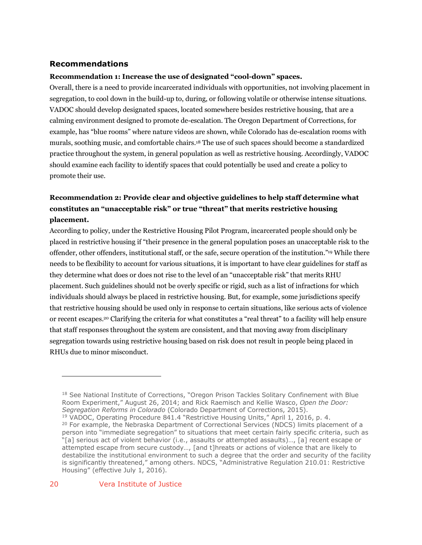#### **Recommendations**

#### **Recommendation 1: Increase the use of designated "cool-down" spaces.**

Overall, there is a need to provide incarcerated individuals with opportunities, not involving placement in segregation, to cool down in the build-up to, during, or following volatile or otherwise intense situations. VADOC should develop designated spaces, located somewhere besides restrictive housing, that are a calming environment designed to promote de-escalation. The Oregon Department of Corrections, for example, has "blue rooms" where nature videos are shown, while Colorado has de-escalation rooms with murals, soothing music, and comfortable chairs.18 The use of such spaces should become a standardized practice throughout the system, in general population as well as restrictive housing. Accordingly, VADOC should examine each facility to identify spaces that could potentially be used and create a policy to promote their use.

### **Recommendation 2: Provide clear and objective guidelines to help staff determine what constitutes an "unacceptable risk" or true "threat" that merits restrictive housing placement.**

According to policy, under the Restrictive Housing Pilot Program, incarcerated people should only be placed in restrictive housing if "their presence in the general population poses an unacceptable risk to the offender, other offenders, institutional staff, or the safe, secure operation of the institution."19 While there needs to be flexibility to account for various situations, it is important to have clear guidelines for staff as they determine what does or does not rise to the level of an "unacceptable risk" that merits RHU placement. Such guidelines should not be overly specific or rigid, such as a list of infractions for which individuals should always be placed in restrictive housing. But, for example, some jurisdictions specify that restrictive housing should be used only in response to certain situations, like serious acts of violence or recent escapes.20 Clarifying the criteria for what constitutes a "real threat" to a facility will help ensure that staff responses throughout the system are consistent, and that moving away from disciplinary segregation towards using restrictive housing based on risk does not result in people being placed in RHUs due to minor misconduct.

<sup>&</sup>lt;sup>18</sup> See National Institute of Corrections, "Oregon Prison Tackles Solitary Confinement with Blue Room Experiment," August 26, 2014; and Rick Raemisch and Kellie Wasco, *Open the Door: Segregation Reforms in Colorado* (Colorado Department of Corrections, 2015).

<sup>19</sup> VADOC, Operating Procedure 841.4 "Restrictive Housing Units," April 1, 2016, p. 4.  $20$  For example, the Nebraska Department of Correctional Services (NDCS) limits placement of a person into "immediate segregation" to situations that meet certain fairly specific criteria, such as "[a] serious act of violent behavior (i.e., assaults or attempted assaults)…, [a] recent escape or attempted escape from secure custody…, [and t]hreats or actions of violence that are likely to destabilize the institutional environment to such a degree that the order and security of the facility is significantly threatened," among others. NDCS, "Administrative Regulation 210.01: Restrictive Housing" (effective July 1, 2016).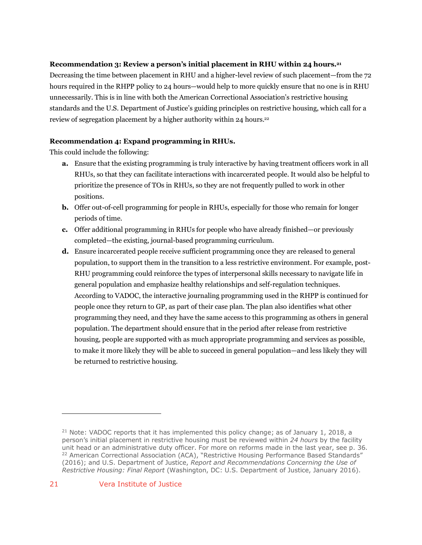#### **Recommendation 3: Review a person's initial placement in RHU within 24 hours.21**

Decreasing the time between placement in RHU and a higher-level review of such placement—from the 72 hours required in the RHPP policy to 24 hours—would help to more quickly ensure that no one is in RHU unnecessarily. This is in line with both the American Correctional Association's restrictive housing standards and the U.S. Department of Justice's guiding principles on restrictive housing, which call for a review of segregation placement by a higher authority within 24 hours.<sup>22</sup>

#### **Recommendation 4: Expand programming in RHUs.**

This could include the following:

- **a.** Ensure that the existing programming is truly interactive by having treatment officers work in all RHUs, so that they can facilitate interactions with incarcerated people. It would also be helpful to prioritize the presence of TOs in RHUs, so they are not frequently pulled to work in other positions.
- **b.** Offer out-of-cell programming for people in RHUs, especially for those who remain for longer periods of time.
- **c.** Offer additional programming in RHUs for people who have already finished—or previously completed—the existing, journal-based programming curriculum.
- **d.** Ensure incarcerated people receive sufficient programming once they are released to general population, to support them in the transition to a less restrictive environment. For example, post-RHU programming could reinforce the types of interpersonal skills necessary to navigate life in general population and emphasize healthy relationships and self-regulation techniques. According to VADOC, the interactive journaling programming used in the RHPP is continued for people once they return to GP, as part of their case plan. The plan also identifies what other programming they need, and they have the same access to this programming as others in general population. The department should ensure that in the period after release from restrictive housing, people are supported with as much appropriate programming and services as possible, to make it more likely they will be able to succeed in general population—and less likely they will be returned to restrictive housing.

<sup>&</sup>lt;sup>21</sup> Note: VADOC reports that it has implemented this policy change; as of January 1, 2018, a person's initial placement in restrictive housing must be reviewed within *24 hours* by the facility unit head or an administrative duty officer. For more on reforms made in the last year, see p. 36. <sup>22</sup> American Correctional Association (ACA), "Restrictive Housing Performance Based Standards" (2016); and U.S. Department of Justice, *Report and Recommendations Concerning the Use of Restrictive Housing: Final Report* (Washington, DC: U.S. Department of Justice, January 2016).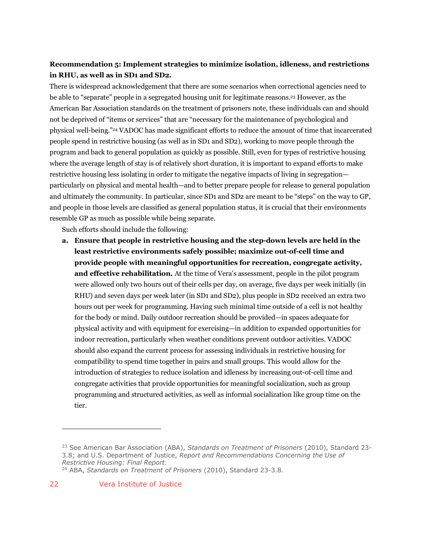### **Recommendation 5: Implement strategies to minimize isolation, idleness, and restrictions in RHU, as well as in SD1 and SD2.**

There is widespread acknowledgement that there are some scenarios when correctional agencies need to be able to "separate" people in a segregated housing unit for legitimate reasons.23 However, as the American Bar Association standards on the treatment of prisoners note, these individuals can and should not be deprived of "items or services" that are "necessary for the maintenance of psychological and physical well-being."24 VADOC has made significant efforts to reduce the amount of time that incarcerated people spend in restrictive housing (as well as in SD1 and SD2), working to move people through the program and back to general population as quickly as possible. Still, even for types of restrictive housing where the average length of stay is of relatively short duration, it is important to expand efforts to make restrictive housing less isolating in order to mitigate the negative impacts of living in segregation particularly on physical and mental health—and to better prepare people for release to general population and ultimately the community. In particular, since SD1 and SD2 are meant to be "steps" on the way to GP, and people in those levels are classified as general population status, it is crucial that their environments resemble GP as much as possible while being separate.

Such efforts should include the following:

**a. Ensure that people in restrictive housing and the step-down levels are held in the least restrictive environments safely possible; maximize out-of-cell time and provide people with meaningful opportunities for recreation, congregate activity, and effective rehabilitation.** At the time of Vera's assessment, people in the pilot program were allowed only two hours out of their cells per day, on average, five days per week initially (in RHU) and seven days per week later (in SD1 and SD2), plus people in SD2 received an extra two hours out per week for programming. Having such minimal time outside of a cell is not healthy for the body or mind. Daily outdoor recreation should be provided—in spaces adequate for physical activity and with equipment for exercising—in addition to expanded opportunities for indoor recreation, particularly when weather conditions prevent outdoor activities. VADOC should also expand the current process for assessing individuals in restrictive housing for compatibility to spend time together in pairs and small groups. This would allow for the introduction of strategies to reduce isolation and idleness by increasing out-of-cell time and congregate activities that provide opportunities for meaningful socialization, such as group programming and structured activities, as well as informal socialization like group time on the tier.

<sup>23</sup> See American Bar Association (ABA), *Standards on Treatment of Prisoners* (2010), Standard 23- 3.8; and U.S. Department of Justice, *Report and Recommendations Concerning the Use of Restrictive Housing: Final Report*.

<sup>24</sup> ABA, *Standards on Treatment of Prisoners* (2010), Standard 23-3.8.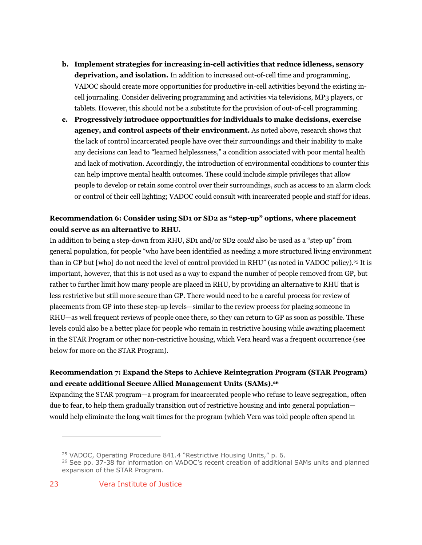- **b. Implement strategies for increasing in-cell activities that reduce idleness, sensory deprivation, and isolation.** In addition to increased out-of-cell time and programming, VADOC should create more opportunities for productive in-cell activities beyond the existing incell journaling. Consider delivering programming and activities via televisions, MP3 players, or tablets. However, this should not be a substitute for the provision of out-of-cell programming.
- **c. Progressively introduce opportunities for individuals to make decisions, exercise agency, and control aspects of their environment.** As noted above, research shows that the lack of control incarcerated people have over their surroundings and their inability to make any decisions can lead to "learned helplessness," a condition associated with poor mental health and lack of motivation. Accordingly, the introduction of environmental conditions to counter this can help improve mental health outcomes. These could include simple privileges that allow people to develop or retain some control over their surroundings, such as access to an alarm clock or control of their cell lighting; VADOC could consult with incarcerated people and staff for ideas.

### **Recommendation 6: Consider using SD1 or SD2 as "step-up" options, where placement could serve as an alternative to RHU.**

In addition to being a step-down from RHU, SD1 and/or SD2 *could* also be used as a "step up" from general population, for people "who have been identified as needing a more structured living environment than in GP but [who] do not need the level of control provided in RHU" (as noted in VADOC policy).25 It is important, however, that this is not used as a way to expand the number of people removed from GP, but rather to further limit how many people are placed in RHU, by providing an alternative to RHU that is less restrictive but still more secure than GP. There would need to be a careful process for review of placements from GP into these step-up levels—similar to the review process for placing someone in RHU—as well frequent reviews of people once there, so they can return to GP as soon as possible. These levels could also be a better place for people who remain in restrictive housing while awaiting placement in the STAR Program or other non-restrictive housing, which Vera heard was a frequent occurrence (see below for more on the STAR Program).

### **Recommendation 7: Expand the Steps to Achieve Reintegration Program (STAR Program) and create additional Secure Allied Management Units (SAMs).26**

Expanding the STAR program—a program for incarcerated people who refuse to leave segregation, often due to fear, to help them gradually transition out of restrictive housing and into general population would help eliminate the long wait times for the program (which Vera was told people often spend in

23 Vera Institute of Justice

<sup>&</sup>lt;sup>25</sup> VADOC, Operating Procedure 841.4 "Restrictive Housing Units," p. 6.

<sup>&</sup>lt;sup>26</sup> See pp. 37-38 for information on VADOC's recent creation of additional SAMs units and planned expansion of the STAR Program.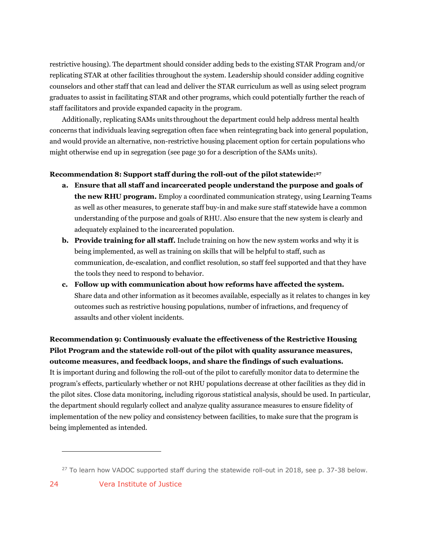restrictive housing). The department should consider adding beds to the existing STAR Program and/or replicating STAR at other facilities throughout the system. Leadership should consider adding cognitive counselors and other staff that can lead and deliver the STAR curriculum as well as using select program graduates to assist in facilitating STAR and other programs, which could potentially further the reach of staff facilitators and provide expanded capacity in the program.

Additionally, replicating SAMs units throughout the department could help address mental health concerns that individuals leaving segregation often face when reintegrating back into general population, and would provide an alternative, non-restrictive housing placement option for certain populations who might otherwise end up in segregation (see page 30 for a description of the SAMs units).

#### **Recommendation 8: Support staff during the roll-out of the pilot statewide:27**

- **a. Ensure that all staff and incarcerated people understand the purpose and goals of the new RHU program.** Employ a coordinated communication strategy, using Learning Teams as well as other measures, to generate staff buy-in and make sure staff statewide have a common understanding of the purpose and goals of RHU. Also ensure that the new system is clearly and adequately explained to the incarcerated population.
- **b. Provide training for all staff.** Include training on how the new system works and why it is being implemented, as well as training on skills that will be helpful to staff, such as communication, de-escalation, and conflict resolution, so staff feel supported and that they have the tools they need to respond to behavior.
- **c. Follow up with communication about how reforms have affected the system.** Share data and other information as it becomes available, especially as it relates to changes in key outcomes such as restrictive housing populations, number of infractions, and frequency of assaults and other violent incidents.

**Recommendation 9: Continuously evaluate the effectiveness of the Restrictive Housing Pilot Program and the statewide roll-out of the pilot with quality assurance measures, outcome measures, and feedback loops, and share the findings of such evaluations.** It is important during and following the roll-out of the pilot to carefully monitor data to determine the program's effects, particularly whether or not RHU populations decrease at other facilities as they did in the pilot sites. Close data monitoring, including rigorous statistical analysis, should be used. In particular, the department should regularly collect and analyze quality assurance measures to ensure fidelity of implementation of the new policy and consistency between facilities, to make sure that the program is being implemented as intended.

 $27$  To learn how VADOC supported staff during the statewide roll-out in 2018, see p. 37-38 below.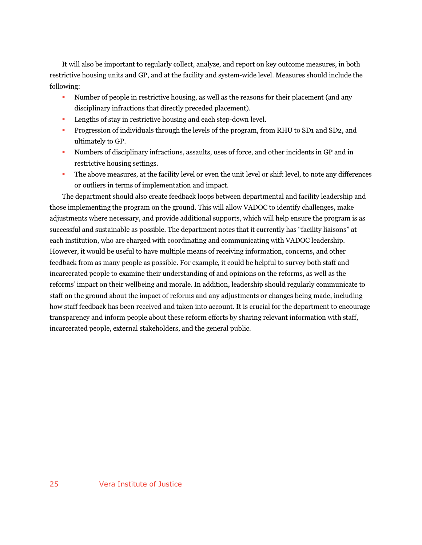It will also be important to regularly collect, analyze, and report on key outcome measures, in both restrictive housing units and GP, and at the facility and system-wide level. Measures should include the following:

- Number of people in restrictive housing, as well as the reasons for their placement (and any disciplinary infractions that directly preceded placement).
- **Lengths of stay in restrictive housing and each step-down level.**
- § Progression of individuals through the levels of the program, from RHU to SD1 and SD2, and ultimately to GP.
- § Numbers of disciplinary infractions, assaults, uses of force, and other incidents in GP and in restrictive housing settings.
- The above measures, at the facility level or even the unit level or shift level, to note any differences or outliers in terms of implementation and impact.

The department should also create feedback loops between departmental and facility leadership and those implementing the program on the ground. This will allow VADOC to identify challenges, make adjustments where necessary, and provide additional supports, which will help ensure the program is as successful and sustainable as possible. The department notes that it currently has "facility liaisons" at each institution, who are charged with coordinating and communicating with VADOC leadership. However, it would be useful to have multiple means of receiving information, concerns, and other feedback from as many people as possible. For example, it could be helpful to survey both staff and incarcerated people to examine their understanding of and opinions on the reforms, as well as the reforms' impact on their wellbeing and morale. In addition, leadership should regularly communicate to staff on the ground about the impact of reforms and any adjustments or changes being made, including how staff feedback has been received and taken into account. It is crucial for the department to encourage transparency and inform people about these reform efforts by sharing relevant information with staff, incarcerated people, external stakeholders, and the general public.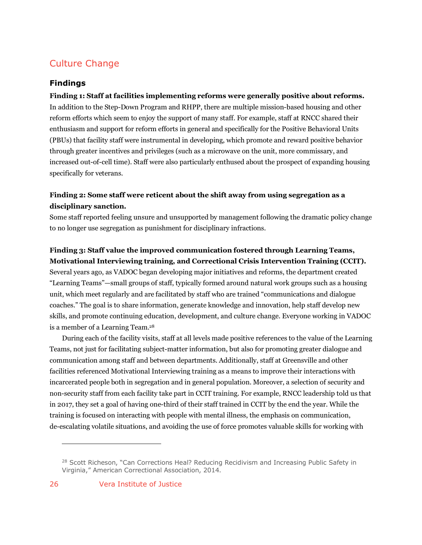## Culture Change

#### **Findings**

### **Finding 1: Staff at facilities implementing reforms were generally positive about reforms.** In addition to the Step-Down Program and RHPP, there are multiple mission-based housing and other reform efforts which seem to enjoy the support of many staff. For example, staff at RNCC shared their enthusiasm and support for reform efforts in general and specifically for the Positive Behavioral Units (PBUs) that facility staff were instrumental in developing, which promote and reward positive behavior through greater incentives and privileges (such as a microwave on the unit, more commissary, and increased out-of-cell time). Staff were also particularly enthused about the prospect of expanding housing specifically for veterans.

### **Finding 2: Some staff were reticent about the shift away from using segregation as a disciplinary sanction.**

Some staff reported feeling unsure and unsupported by management following the dramatic policy change to no longer use segregation as punishment for disciplinary infractions.

### **Finding 3: Staff value the improved communication fostered through Learning Teams, Motivational Interviewing training, and Correctional Crisis Intervention Training (CCIT).**

Several years ago, as VADOC began developing major initiatives and reforms, the department created "Learning Teams"—small groups of staff, typically formed around natural work groups such as a housing unit, which meet regularly and are facilitated by staff who are trained "communications and dialogue coaches." The goal is to share information, generate knowledge and innovation, help staff develop new skills, and promote continuing education, development, and culture change. Everyone working in VADOC is a member of a Learning Team.28

During each of the facility visits, staff at all levels made positive references to the value of the Learning Teams, not just for facilitating subject-matter information, but also for promoting greater dialogue and communication among staff and between departments. Additionally, staff at Greensville and other facilities referenced Motivational Interviewing training as a means to improve their interactions with incarcerated people both in segregation and in general population. Moreover, a selection of security and non-security staff from each facility take part in CCIT training. For example, RNCC leadership told us that in 2017, they set a goal of having one-third of their staff trained in CCIT by the end the year. While the training is focused on interacting with people with mental illness, the emphasis on communication, de-escalating volatile situations, and avoiding the use of force promotes valuable skills for working with

<sup>&</sup>lt;sup>28</sup> Scott Richeson, "Can Corrections Heal? Reducing Recidivism and Increasing Public Safety in Virginia," American Correctional Association, 2014.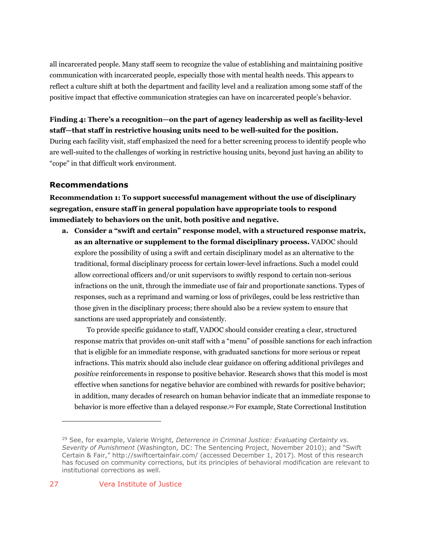all incarcerated people. Many staff seem to recognize the value of establishing and maintaining positive communication with incarcerated people, especially those with mental health needs. This appears to reflect a culture shift at both the department and facility level and a realization among some staff of the positive impact that effective communication strategies can have on incarcerated people's behavior.

### **Finding 4: There's a recognition—on the part of agency leadership as well as facility-level staff—that staff in restrictive housing units need to be well-suited for the position.**

During each facility visit, staff emphasized the need for a better screening process to identify people who are well-suited to the challenges of working in restrictive housing units, beyond just having an ability to "cope" in that difficult work environment.

### **Recommendations**

**Recommendation 1: To support successful management without the use of disciplinary segregation, ensure staff in general population have appropriate tools to respond immediately to behaviors on the unit, both positive and negative.**

**a. Consider a "swift and certain" response model, with a structured response matrix, as an alternative or supplement to the formal disciplinary process.** VADOC should explore the possibility of using a swift and certain disciplinary model as an alternative to the traditional, formal disciplinary process for certain lower-level infractions. Such a model could allow correctional officers and/or unit supervisors to swiftly respond to certain non-serious infractions on the unit, through the immediate use of fair and proportionate sanctions. Types of responses, such as a reprimand and warning or loss of privileges, could be less restrictive than those given in the disciplinary process; there should also be a review system to ensure that sanctions are used appropriately and consistently.

To provide specific guidance to staff, VADOC should consider creating a clear, structured response matrix that provides on-unit staff with a "menu" of possible sanctions for each infraction that is eligible for an immediate response, with graduated sanctions for more serious or repeat infractions. This matrix should also include clear guidance on offering additional privileges and *positive* reinforcements in response to positive behavior. Research shows that this model is most effective when sanctions for negative behavior are combined with rewards for positive behavior; in addition, many decades of research on human behavior indicate that an immediate response to behavior is more effective than a delayed response.29 For example, State Correctional Institution

<sup>29</sup> See, for example, Valerie Wright, *Deterrence in Criminal Justice: Evaluating Certainty vs. Severity of Punishment* (Washington, DC: The Sentencing Project, November 2010); and "Swift Certain & Fair," http://swiftcertainfair.com/ (accessed December 1, 2017). Most of this research has focused on community corrections, but its principles of behavioral modification are relevant to institutional corrections as well.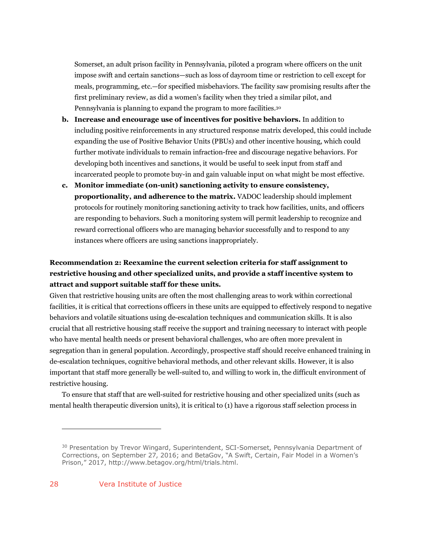Somerset, an adult prison facility in Pennsylvania, piloted a program where officers on the unit impose swift and certain sanctions—such as loss of dayroom time or restriction to cell except for meals, programming, etc.—for specified misbehaviors. The facility saw promising results after the first preliminary review, as did a women's facility when they tried a similar pilot, and Pennsylvania is planning to expand the program to more facilities.30

- **b. Increase and encourage use of incentives for positive behaviors.** In addition to including positive reinforcements in any structured response matrix developed, this could include expanding the use of Positive Behavior Units (PBUs) and other incentive housing, which could further motivate individuals to remain infraction-free and discourage negative behaviors. For developing both incentives and sanctions, it would be useful to seek input from staff and incarcerated people to promote buy-in and gain valuable input on what might be most effective.
- **c. Monitor immediate (on-unit) sanctioning activity to ensure consistency, proportionality, and adherence to the matrix.** VADOC leadership should implement protocols for routinely monitoring sanctioning activity to track how facilities, units, and officers are responding to behaviors. Such a monitoring system will permit leadership to recognize and reward correctional officers who are managing behavior successfully and to respond to any instances where officers are using sanctions inappropriately.

### **Recommendation 2: Reexamine the current selection criteria for staff assignment to restrictive housing and other specialized units, and provide a staff incentive system to attract and support suitable staff for these units.**

Given that restrictive housing units are often the most challenging areas to work within correctional facilities, it is critical that corrections officers in these units are equipped to effectively respond to negative behaviors and volatile situations using de-escalation techniques and communication skills. It is also crucial that all restrictive housing staff receive the support and training necessary to interact with people who have mental health needs or present behavioral challenges, who are often more prevalent in segregation than in general population. Accordingly, prospective staff should receive enhanced training in de-escalation techniques, cognitive behavioral methods, and other relevant skills. However, it is also important that staff more generally be well-suited to, and willing to work in, the difficult environment of restrictive housing.

To ensure that staff that are well-suited for restrictive housing and other specialized units (such as mental health therapeutic diversion units), it is critical to (1) have a rigorous staff selection process in

<sup>&</sup>lt;sup>30</sup> Presentation by Trevor Wingard, Superintendent, SCI-Somerset, Pennsylvania Department of Corrections, on September 27, 2016; and BetaGov, "A Swift, Certain, Fair Model in a Women's Prison," 2017, http://www.betagov.org/html/trials.html.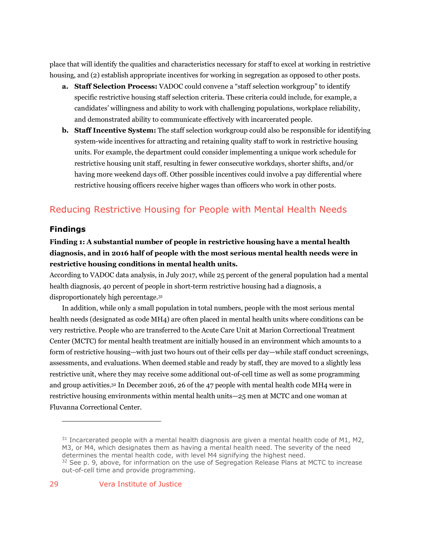place that will identify the qualities and characteristics necessary for staff to excel at working in restrictive housing, and (2) establish appropriate incentives for working in segregation as opposed to other posts.

- **a. Staff Selection Process:** VADOC could convene a "staff selection workgroup" to identify specific restrictive housing staff selection criteria. These criteria could include, for example, a candidates' willingness and ability to work with challenging populations, workplace reliability, and demonstrated ability to communicate effectively with incarcerated people.
- **b. Staff Incentive System:** The staff selection workgroup could also be responsible for identifying system-wide incentives for attracting and retaining quality staff to work in restrictive housing units. For example, the department could consider implementing a unique work schedule for restrictive housing unit staff, resulting in fewer consecutive workdays, shorter shifts, and/or having more weekend days off. Other possible incentives could involve a pay differential where restrictive housing officers receive higher wages than officers who work in other posts.

# Reducing Restrictive Housing for People with Mental Health Needs

#### **Findings**

 $\overline{a}$ 

### **Finding 1: A substantial number of people in restrictive housing have a mental health diagnosis, and in 2016 half of people with the most serious mental health needs were in restrictive housing conditions in mental health units.**

According to VADOC data analysis, in July 2017, while 25 percent of the general population had a mental health diagnosis, 40 percent of people in short-term restrictive housing had a diagnosis, a disproportionately high percentage.31

In addition, while only a small population in total numbers, people with the most serious mental health needs (designated as code MH4) are often placed in mental health units where conditions can be very restrictive. People who are transferred to the Acute Care Unit at Marion Correctional Treatment Center (MCTC) for mental health treatment are initially housed in an environment which amounts to a form of restrictive housing—with just two hours out of their cells per day—while staff conduct screenings, assessments, and evaluations. When deemed stable and ready by staff, they are moved to a slightly less restrictive unit, where they may receive some additional out-of-cell time as well as some programming and group activities.32 In December 2016, 26 of the 47 people with mental health code MH4 were in restrictive housing environments within mental health units—25 men at MCTC and one woman at Fluvanna Correctional Center.

 $31$  Incarcerated people with a mental health diagnosis are given a mental health code of M1, M2, M3, or M4, which designates them as having a mental health need. The severity of the need determines the mental health code, with level M4 signifying the highest need.  $32$  See p. 9, above, for information on the use of Segregation Release Plans at MCTC to increase out-of-cell time and provide programming.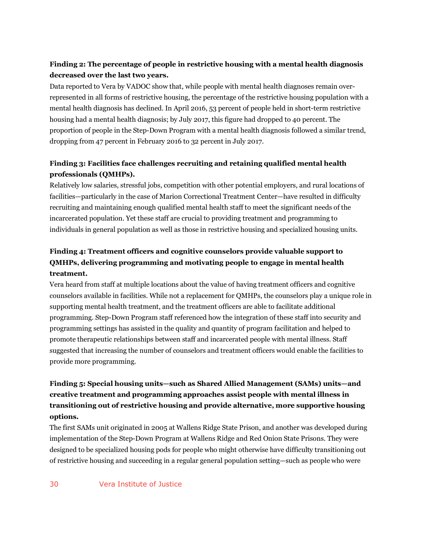### **Finding 2: The percentage of people in restrictive housing with a mental health diagnosis decreased over the last two years.**

Data reported to Vera by VADOC show that, while people with mental health diagnoses remain overrepresented in all forms of restrictive housing, the percentage of the restrictive housing population with a mental health diagnosis has declined. In April 2016, 53 percent of people held in short-term restrictive housing had a mental health diagnosis; by July 2017, this figure had dropped to 40 percent. The proportion of people in the Step-Down Program with a mental health diagnosis followed a similar trend, dropping from 47 percent in February 2016 to 32 percent in July 2017.

### **Finding 3: Facilities face challenges recruiting and retaining qualified mental health professionals (QMHPs).**

Relatively low salaries, stressful jobs, competition with other potential employers, and rural locations of facilities—particularly in the case of Marion Correctional Treatment Center—have resulted in difficulty recruiting and maintaining enough qualified mental health staff to meet the significant needs of the incarcerated population. Yet these staff are crucial to providing treatment and programming to individuals in general population as well as those in restrictive housing and specialized housing units.

### **Finding 4: Treatment officers and cognitive counselors provide valuable support to QMHPs, delivering programming and motivating people to engage in mental health treatment.**

Vera heard from staff at multiple locations about the value of having treatment officers and cognitive counselors available in facilities. While not a replacement for QMHPs, the counselors play a unique role in supporting mental health treatment, and the treatment officers are able to facilitate additional programming. Step-Down Program staff referenced how the integration of these staff into security and programming settings has assisted in the quality and quantity of program facilitation and helped to promote therapeutic relationships between staff and incarcerated people with mental illness. Staff suggested that increasing the number of counselors and treatment officers would enable the facilities to provide more programming.

### **Finding 5: Special housing units—such as Shared Allied Management (SAMs) units—and creative treatment and programming approaches assist people with mental illness in transitioning out of restrictive housing and provide alternative, more supportive housing options.**

The first SAMs unit originated in 2005 at Wallens Ridge State Prison, and another was developed during implementation of the Step-Down Program at Wallens Ridge and Red Onion State Prisons. They were designed to be specialized housing pods for people who might otherwise have difficulty transitioning out of restrictive housing and succeeding in a regular general population setting—such as people who were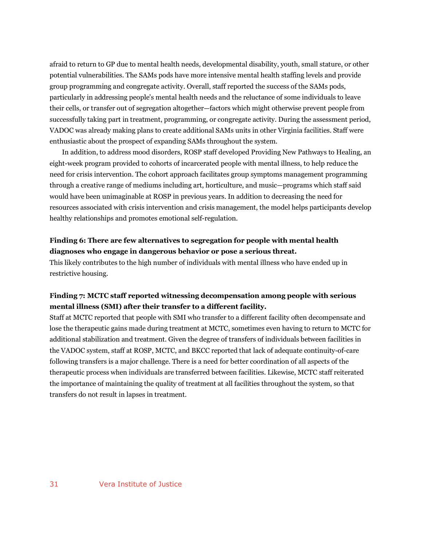afraid to return to GP due to mental health needs, developmental disability, youth, small stature, or other potential vulnerabilities. The SAMs pods have more intensive mental health staffing levels and provide group programming and congregate activity. Overall, staff reported the success of the SAMs pods, particularly in addressing people's mental health needs and the reluctance of some individuals to leave their cells, or transfer out of segregation altogether—factors which might otherwise prevent people from successfully taking part in treatment, programming, or congregate activity. During the assessment period, VADOC was already making plans to create additional SAMs units in other Virginia facilities. Staff were enthusiastic about the prospect of expanding SAMs throughout the system.

In addition, to address mood disorders, ROSP staff developed Providing New Pathways to Healing, an eight-week program provided to cohorts of incarcerated people with mental illness, to help reduce the need for crisis intervention. The cohort approach facilitates group symptoms management programming through a creative range of mediums including art, horticulture, and music—programs which staff said would have been unimaginable at ROSP in previous years. In addition to decreasing the need for resources associated with crisis intervention and crisis management, the model helps participants develop healthy relationships and promotes emotional self-regulation.

#### **Finding 6: There are few alternatives to segregation for people with mental health diagnoses who engage in dangerous behavior or pose a serious threat.**

This likely contributes to the high number of individuals with mental illness who have ended up in restrictive housing.

#### **Finding 7: MCTC staff reported witnessing decompensation among people with serious mental illness (SMI) after their transfer to a different facility.**

Staff at MCTC reported that people with SMI who transfer to a different facility often decompensate and lose the therapeutic gains made during treatment at MCTC, sometimes even having to return to MCTC for additional stabilization and treatment. Given the degree of transfers of individuals between facilities in the VADOC system, staff at ROSP, MCTC, and BKCC reported that lack of adequate continuity-of-care following transfers is a major challenge. There is a need for better coordination of all aspects of the therapeutic process when individuals are transferred between facilities. Likewise, MCTC staff reiterated the importance of maintaining the quality of treatment at all facilities throughout the system, so that transfers do not result in lapses in treatment.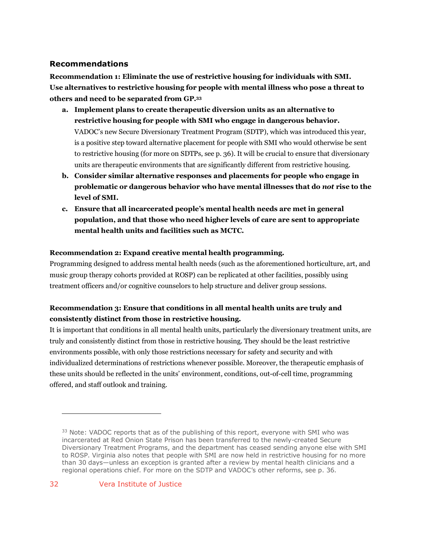### **Recommendations**

**Recommendation 1: Eliminate the use of restrictive housing for individuals with SMI. Use alternatives to restrictive housing for people with mental illness who pose a threat to others and need to be separated from GP.33**

- **a. Implement plans to create therapeutic diversion units as an alternative to restrictive housing for people with SMI who engage in dangerous behavior.**  VADOC's new Secure Diversionary Treatment Program (SDTP), which was introduced this year, is a positive step toward alternative placement for people with SMI who would otherwise be sent to restrictive housing (for more on SDTPs, see p. 36). It will be crucial to ensure that diversionary units are therapeutic environments that are significantly different from restrictive housing.
- **b. Consider similar alternative responses and placements for people who engage in problematic or dangerous behavior who have mental illnesses that do** *not* **rise to the level of SMI.**
- **c. Ensure that all incarcerated people's mental health needs are met in general population, and that those who need higher levels of care are sent to appropriate mental health units and facilities such as MCTC.**

#### **Recommendation 2: Expand creative mental health programming.**

Programming designed to address mental health needs (such as the aforementioned horticulture, art, and music group therapy cohorts provided at ROSP) can be replicated at other facilities, possibly using treatment officers and/or cognitive counselors to help structure and deliver group sessions.

### **Recommendation 3: Ensure that conditions in all mental health units are truly and consistently distinct from those in restrictive housing.**

It is important that conditions in all mental health units, particularly the diversionary treatment units, are truly and consistently distinct from those in restrictive housing. They should be the least restrictive environments possible, with only those restrictions necessary for safety and security and with individualized determinations of restrictions whenever possible. Moreover, the therapeutic emphasis of these units should be reflected in the units' environment, conditions, out-of-cell time, programming offered, and staff outlook and training.

 $33$  Note: VADOC reports that as of the publishing of this report, everyone with SMI who was incarcerated at Red Onion State Prison has been transferred to the newly-created Secure Diversionary Treatment Programs, and the department has ceased sending anyone else with SMI to ROSP. Virginia also notes that people with SMI are now held in restrictive housing for no more than 30 days—unless an exception is granted after a review by mental health clinicians and a regional operations chief. For more on the SDTP and VADOC's other reforms, see p. 36.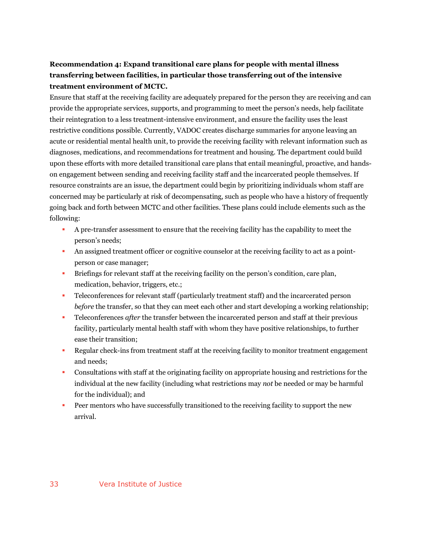### **Recommendation 4: Expand transitional care plans for people with mental illness transferring between facilities, in particular those transferring out of the intensive treatment environment of MCTC.**

Ensure that staff at the receiving facility are adequately prepared for the person they are receiving and can provide the appropriate services, supports, and programming to meet the person's needs, help facilitate their reintegration to a less treatment-intensive environment, and ensure the facility uses the least restrictive conditions possible. Currently, VADOC creates discharge summaries for anyone leaving an acute or residential mental health unit, to provide the receiving facility with relevant information such as diagnoses, medications, and recommendations for treatment and housing. The department could build upon these efforts with more detailed transitional care plans that entail meaningful, proactive, and handson engagement between sending and receiving facility staff and the incarcerated people themselves. If resource constraints are an issue, the department could begin by prioritizing individuals whom staff are concerned may be particularly at risk of decompensating, such as people who have a history of frequently going back and forth between MCTC and other facilities. These plans could include elements such as the following:

- § A pre-transfer assessment to ensure that the receiving facility has the capability to meet the person's needs;
- An assigned treatment officer or cognitive counselor at the receiving facility to act as a pointperson or case manager;
- Briefings for relevant staff at the receiving facility on the person's condition, care plan, medication, behavior, triggers, etc.;
- Teleconferences for relevant staff (particularly treatment staff) and the incarcerated person *before* the transfer, so that they can meet each other and start developing a working relationship;
- § Teleconferences *after* the transfer between the incarcerated person and staff at their previous facility, particularly mental health staff with whom they have positive relationships, to further ease their transition;
- § Regular check-ins from treatment staff at the receiving facility to monitor treatment engagement and needs;
- § Consultations with staff at the originating facility on appropriate housing and restrictions for the individual at the new facility (including what restrictions may *not* be needed or may be harmful for the individual); and
- Peer mentors who have successfully transitioned to the receiving facility to support the new arrival.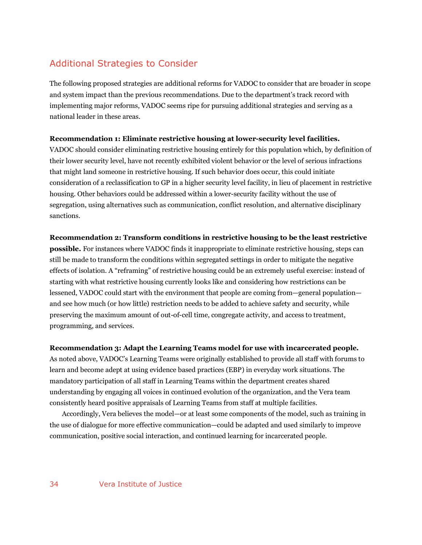# Additional Strategies to Consider

The following proposed strategies are additional reforms for VADOC to consider that are broader in scope and system impact than the previous recommendations. Due to the department's track record with implementing major reforms, VADOC seems ripe for pursuing additional strategies and serving as a national leader in these areas.

#### **Recommendation 1: Eliminate restrictive housing at lower-security level facilities.**

VADOC should consider eliminating restrictive housing entirely for this population which, by definition of their lower security level, have not recently exhibited violent behavior or the level of serious infractions that might land someone in restrictive housing. If such behavior does occur, this could initiate consideration of a reclassification to GP in a higher security level facility, in lieu of placement in restrictive housing. Other behaviors could be addressed within a lower-security facility without the use of segregation, using alternatives such as communication, conflict resolution, and alternative disciplinary sanctions.

#### **Recommendation 2: Transform conditions in restrictive housing to be the least restrictive**

**possible.** For instances where VADOC finds it inappropriate to eliminate restrictive housing, steps can still be made to transform the conditions within segregated settings in order to mitigate the negative effects of isolation. A "reframing" of restrictive housing could be an extremely useful exercise: instead of starting with what restrictive housing currently looks like and considering how restrictions can be lessened, VADOC could start with the environment that people are coming from—general population and see how much (or how little) restriction needs to be added to achieve safety and security, while preserving the maximum amount of out-of-cell time, congregate activity, and access to treatment, programming, and services.

#### **Recommendation 3: Adapt the Learning Teams model for use with incarcerated people.**

As noted above, VADOC's Learning Teams were originally established to provide all staff with forums to learn and become adept at using evidence based practices (EBP) in everyday work situations. The mandatory participation of all staff in Learning Teams within the department creates shared understanding by engaging all voices in continued evolution of the organization, and the Vera team consistently heard positive appraisals of Learning Teams from staff at multiple facilities.

Accordingly, Vera believes the model—or at least some components of the model, such as training in the use of dialogue for more effective communication—could be adapted and used similarly to improve communication, positive social interaction, and continued learning for incarcerated people.

#### 34 Vera Institute of Justice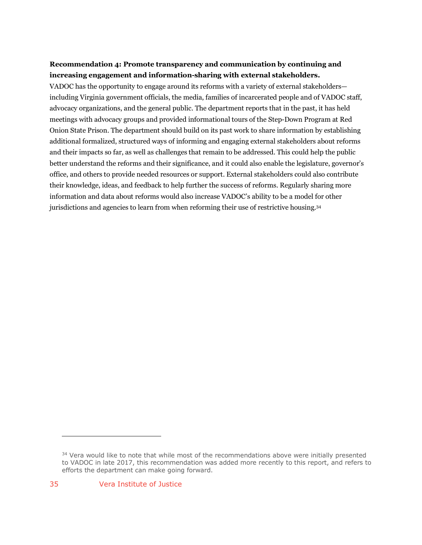### **Recommendation 4: Promote transparency and communication by continuing and increasing engagement and information-sharing with external stakeholders.**

VADOC has the opportunity to engage around its reforms with a variety of external stakeholders including Virginia government officials, the media, families of incarcerated people and of VADOC staff, advocacy organizations, and the general public. The department reports that in the past, it has held meetings with advocacy groups and provided informational tours of the Step-Down Program at Red Onion State Prison. The department should build on its past work to share information by establishing additional formalized, structured ways of informing and engaging external stakeholders about reforms and their impacts so far, as well as challenges that remain to be addressed. This could help the public better understand the reforms and their significance, and it could also enable the legislature, governor's office, and others to provide needed resources or support. External stakeholders could also contribute their knowledge, ideas, and feedback to help further the success of reforms. Regularly sharing more information and data about reforms would also increase VADOC's ability to be a model for other jurisdictions and agencies to learn from when reforming their use of restrictive housing.34

<sup>&</sup>lt;sup>34</sup> Vera would like to note that while most of the recommendations above were initially presented to VADOC in late 2017, this recommendation was added more recently to this report, and refers to efforts the department can make going forward.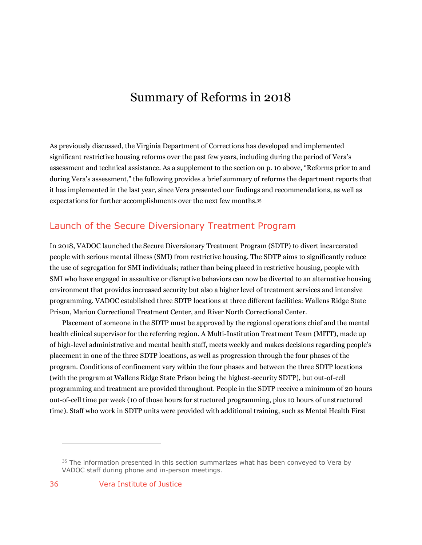# Summary of Reforms in 2018

As previously discussed, the Virginia Department of Corrections has developed and implemented significant restrictive housing reforms over the past few years, including during the period of Vera's assessment and technical assistance. As a supplement to the section on p. 10 above, "Reforms prior to and during Vera's assessment," the following provides a brief summary of reforms the department reports that it has implemented in the last year, since Vera presented our findings and recommendations, as well as expectations for further accomplishments over the next few months.35

### Launch of the Secure Diversionary Treatment Program

In 2018, VADOC launched the Secure Diversionary Treatment Program (SDTP) to divert incarcerated people with serious mental illness (SMI) from restrictive housing. The SDTP aims to significantly reduce the use of segregation for SMI individuals; rather than being placed in restrictive housing, people with SMI who have engaged in assaultive or disruptive behaviors can now be diverted to an alternative housing environment that provides increased security but also a higher level of treatment services and intensive programming. VADOC established three SDTP locations at three different facilities: Wallens Ridge State Prison, Marion Correctional Treatment Center, and River North Correctional Center.

Placement of someone in the SDTP must be approved by the regional operations chief and the mental health clinical supervisor for the referring region. A Multi-Institution Treatment Team (MITT), made up of high-level administrative and mental health staff, meets weekly and makes decisions regarding people's placement in one of the three SDTP locations, as well as progression through the four phases of the program. Conditions of confinement vary within the four phases and between the three SDTP locations (with the program at Wallens Ridge State Prison being the highest-security SDTP), but out-of-cell programming and treatment are provided throughout. People in the SDTP receive a minimum of 20 hours out-of-cell time per week (10 of those hours for structured programming, plus 10 hours of unstructured time). Staff who work in SDTP units were provided with additional training, such as Mental Health First

 $35$  The information presented in this section summarizes what has been conveyed to Vera by VADOC staff during phone and in-person meetings.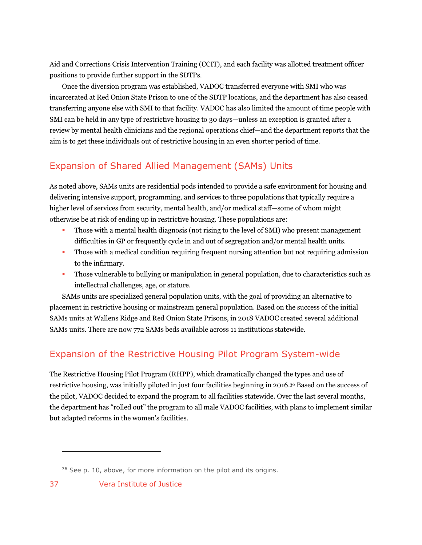Aid and Corrections Crisis Intervention Training (CCIT), and each facility was allotted treatment officer positions to provide further support in the SDTPs.

Once the diversion program was established, VADOC transferred everyone with SMI who was incarcerated at Red Onion State Prison to one of the SDTP locations, and the department has also ceased transferring anyone else with SMI to that facility. VADOC has also limited the amount of time people with SMI can be held in any type of restrictive housing to 30 days—unless an exception is granted after a review by mental health clinicians and the regional operations chief—and the department reports that the aim is to get these individuals out of restrictive housing in an even shorter period of time.

# Expansion of Shared Allied Management (SAMs) Units

As noted above, SAMs units are residential pods intended to provide a safe environment for housing and delivering intensive support, programming, and services to three populations that typically require a higher level of services from security, mental health, and/or medical staff—some of whom might otherwise be at risk of ending up in restrictive housing. These populations are:

- § Those with a mental health diagnosis (not rising to the level of SMI) who present management difficulties in GP or frequently cycle in and out of segregation and/or mental health units.
- Those with a medical condition requiring frequent nursing attention but not requiring admission to the infirmary.
- § Those vulnerable to bullying or manipulation in general population, due to characteristics such as intellectual challenges, age, or stature.

SAMs units are specialized general population units, with the goal of providing an alternative to placement in restrictive housing or mainstream general population. Based on the success of the initial SAMs units at Wallens Ridge and Red Onion State Prisons, in 2018 VADOC created several additional SAMs units. There are now 772 SAMs beds available across 11 institutions statewide.

# Expansion of the Restrictive Housing Pilot Program System-wide

The Restrictive Housing Pilot Program (RHPP), which dramatically changed the types and use of restrictive housing, was initially piloted in just four facilities beginning in 2016.36 Based on the success of the pilot, VADOC decided to expand the program to all facilities statewide. Over the last several months, the department has "rolled out" the program to all male VADOC facilities, with plans to implement similar but adapted reforms in the women's facilities.

<sup>&</sup>lt;sup>36</sup> See p. 10, above, for more information on the pilot and its origins.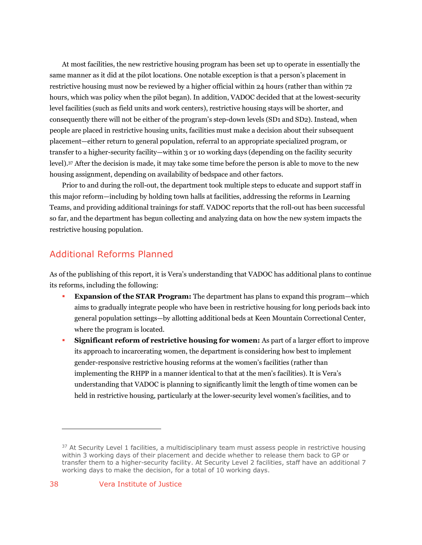At most facilities, the new restrictive housing program has been set up to operate in essentially the same manner as it did at the pilot locations. One notable exception is that a person's placement in restrictive housing must now be reviewed by a higher official within 24 hours (rather than within 72 hours, which was policy when the pilot began). In addition, VADOC decided that at the lowest-security level facilities (such as field units and work centers), restrictive housing stays will be shorter, and consequently there will not be either of the program's step-down levels (SD1 and SD2). Instead, when people are placed in restrictive housing units, facilities must make a decision about their subsequent placement—either return to general population, referral to an appropriate specialized program, or transfer to a higher-security facility—within 3 or 10 working days (depending on the facility security level).37 After the decision is made, it may take some time before the person is able to move to the new housing assignment, depending on availability of bedspace and other factors.

Prior to and during the roll-out, the department took multiple steps to educate and support staff in this major reform—including by holding town halls at facilities, addressing the reforms in Learning Teams, and providing additional trainings for staff. VADOC reports that the roll-out has been successful so far, and the department has begun collecting and analyzing data on how the new system impacts the restrictive housing population.

## Additional Reforms Planned

As of the publishing of this report, it is Vera's understanding that VADOC has additional plans to continue its reforms, including the following:

- **Expansion of the STAR Program:** The department has plans to expand this program—which aims to gradually integrate people who have been in restrictive housing for long periods back into general population settings—by allotting additional beds at Keen Mountain Correctional Center, where the program is located.
- § **Significant reform of restrictive housing for women:** As part of a larger effort to improve its approach to incarcerating women, the department is considering how best to implement gender-responsive restrictive housing reforms at the women's facilities (rather than implementing the RHPP in a manner identical to that at the men's facilities). It is Vera's understanding that VADOC is planning to significantly limit the length of time women can be held in restrictive housing, particularly at the lower-security level women's facilities, and to

<sup>&</sup>lt;sup>37</sup> At Security Level 1 facilities, a multidisciplinary team must assess people in restrictive housing within 3 working days of their placement and decide whether to release them back to GP or transfer them to a higher-security facility. At Security Level 2 facilities, staff have an additional 7 working days to make the decision, for a total of 10 working days.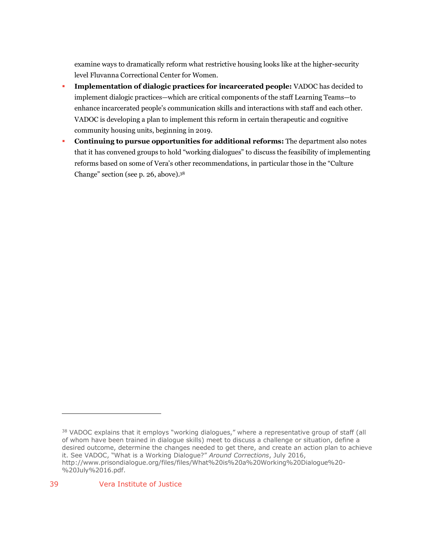examine ways to dramatically reform what restrictive housing looks like at the higher-security level Fluvanna Correctional Center for Women.

- § **Implementation of dialogic practices for incarcerated people:** VADOC has decided to implement dialogic practices—which are critical components of the staff Learning Teams—to enhance incarcerated people's communication skills and interactions with staff and each other. VADOC is developing a plan to implement this reform in certain therapeutic and cognitive community housing units, beginning in 2019.
- § **Continuing to pursue opportunities for additional reforms:** The department also notes that it has convened groups to hold "working dialogues" to discuss the feasibility of implementing reforms based on some of Vera's other recommendations, in particular those in the "Culture Change" section (see p. 26, above).38

<sup>38</sup> VADOC explains that it employs "working dialogues," where a representative group of staff (all of whom have been trained in dialogue skills) meet to discuss a challenge or situation, define a desired outcome, determine the changes needed to get there, and create an action plan to achieve it. See VADOC, "What is a Working Dialogue?" *Around Corrections*, July 2016, http://www.prisondialogue.org/files/files/What%20is%20a%20Working%20Dialogue%20- %20July%2016.pdf.